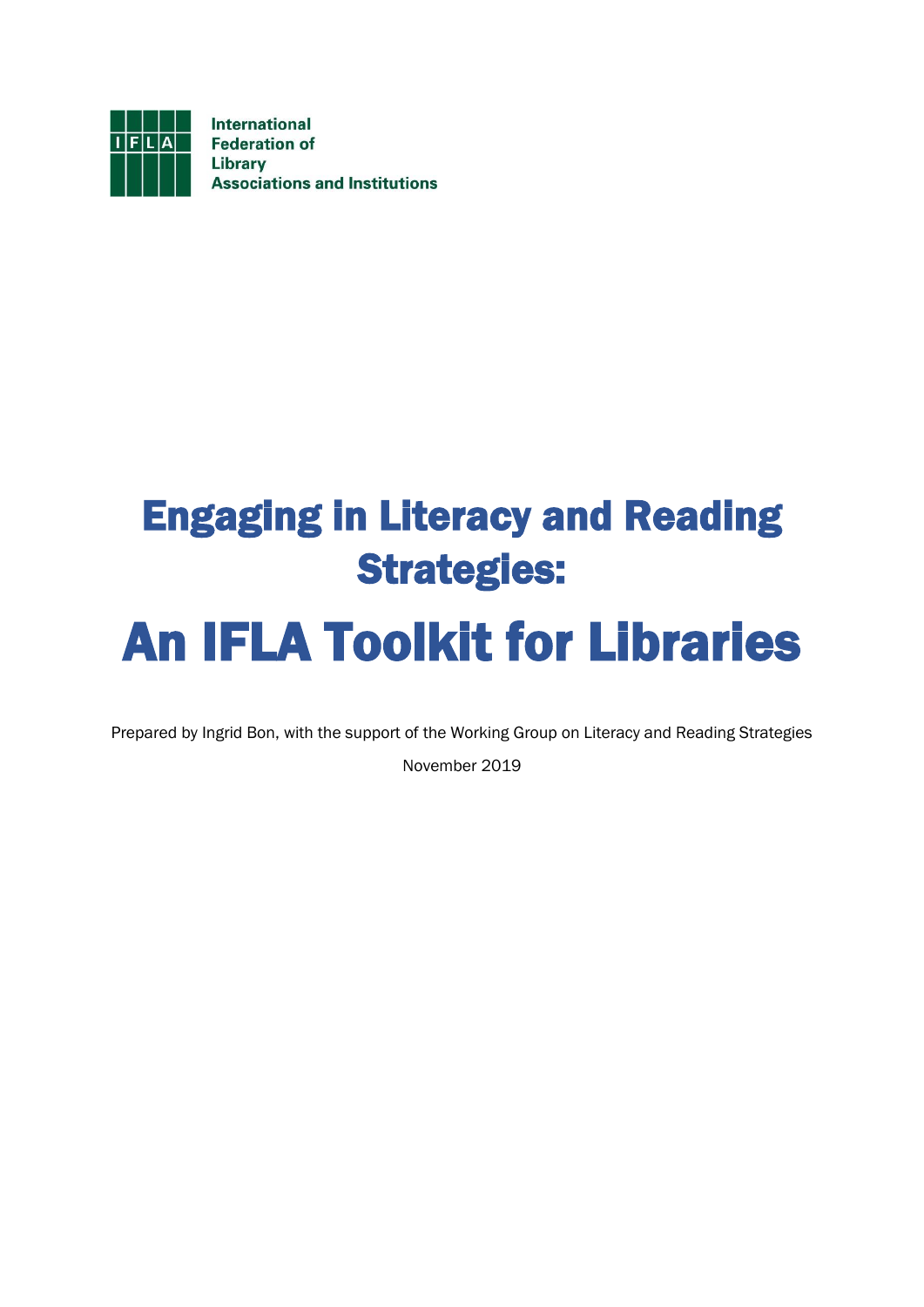

## Engaging in Literacy and Reading Strategies:

# An IFLA Toolkit for Libraries

Prepared by Ingrid Bon, with the support of the Working Group on Literacy and Reading Strategies

November 2019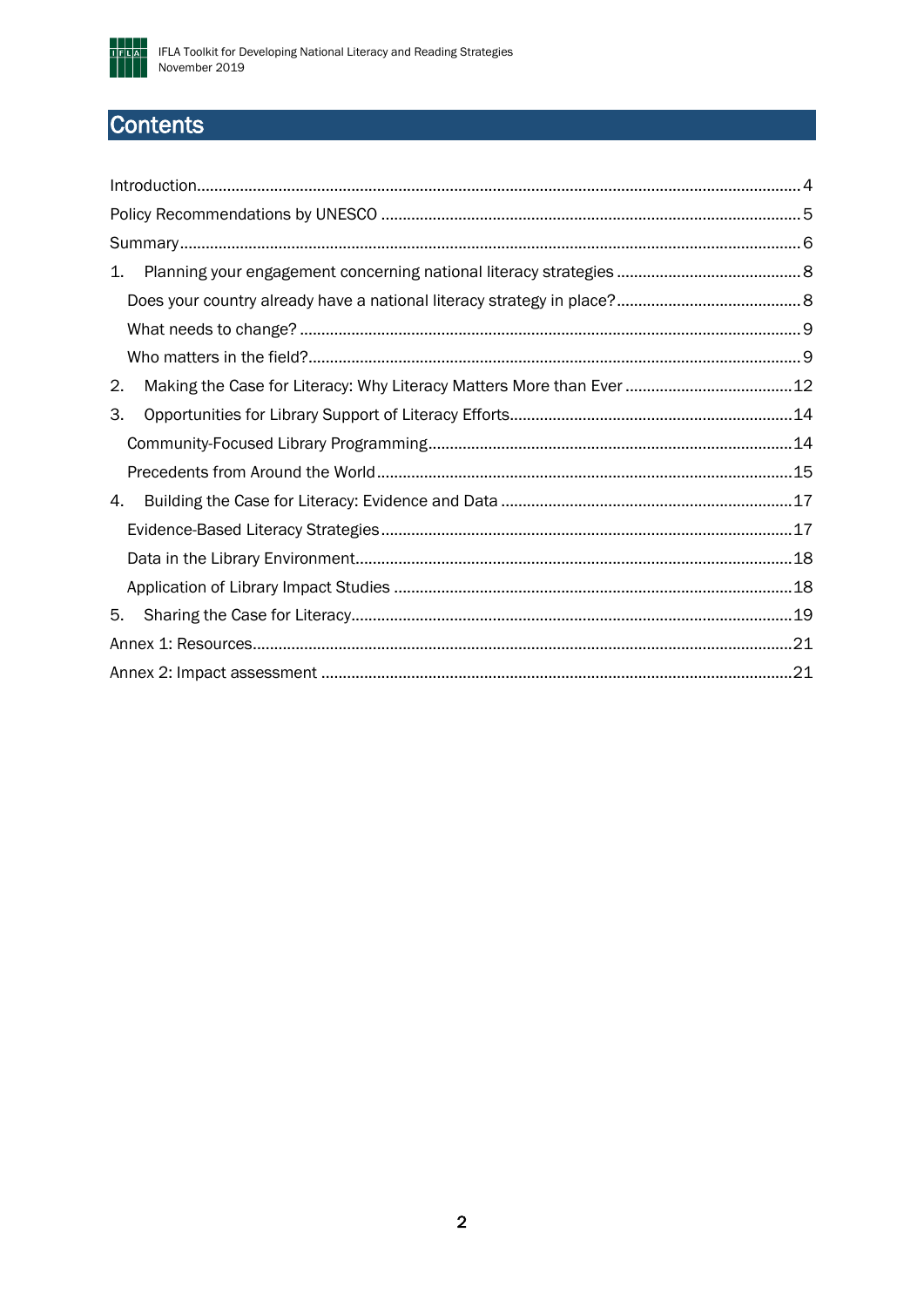

## **Contents**

| 1. |  |
|----|--|
|    |  |
|    |  |
|    |  |
| 2. |  |
| 3. |  |
|    |  |
|    |  |
| 4. |  |
|    |  |
|    |  |
|    |  |
| 5. |  |
|    |  |
|    |  |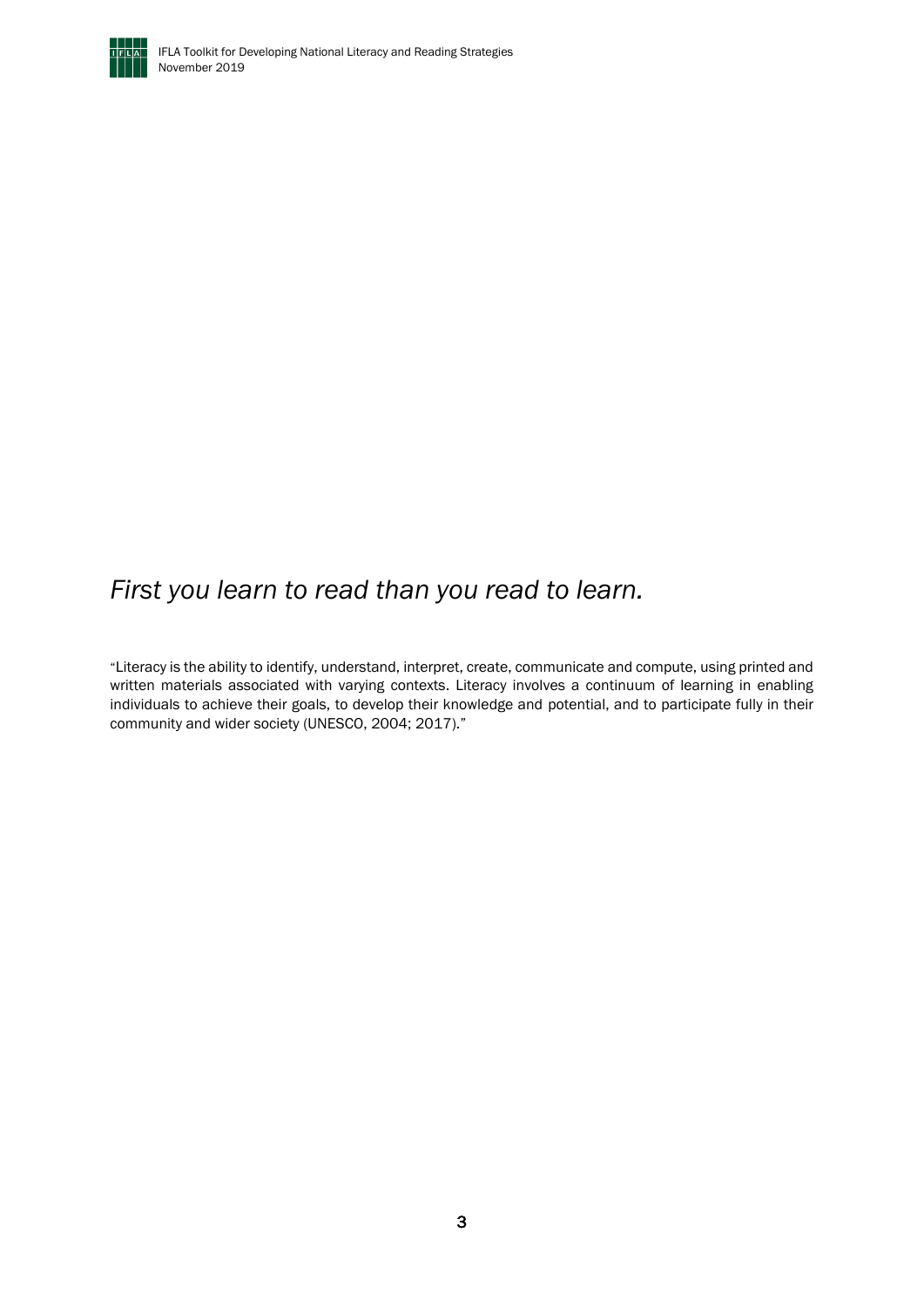

## *First you learn to read than you read to learn.*

"Literacy is the ability to identify, understand, interpret, create, communicate and compute, using printed and written materials associated with varying contexts. Literacy involves a continuum of learning in enabling individuals to achieve their goals, to develop their knowledge and potential, and to participate fully in their community and wider society (UNESCO, 2004; 2017)."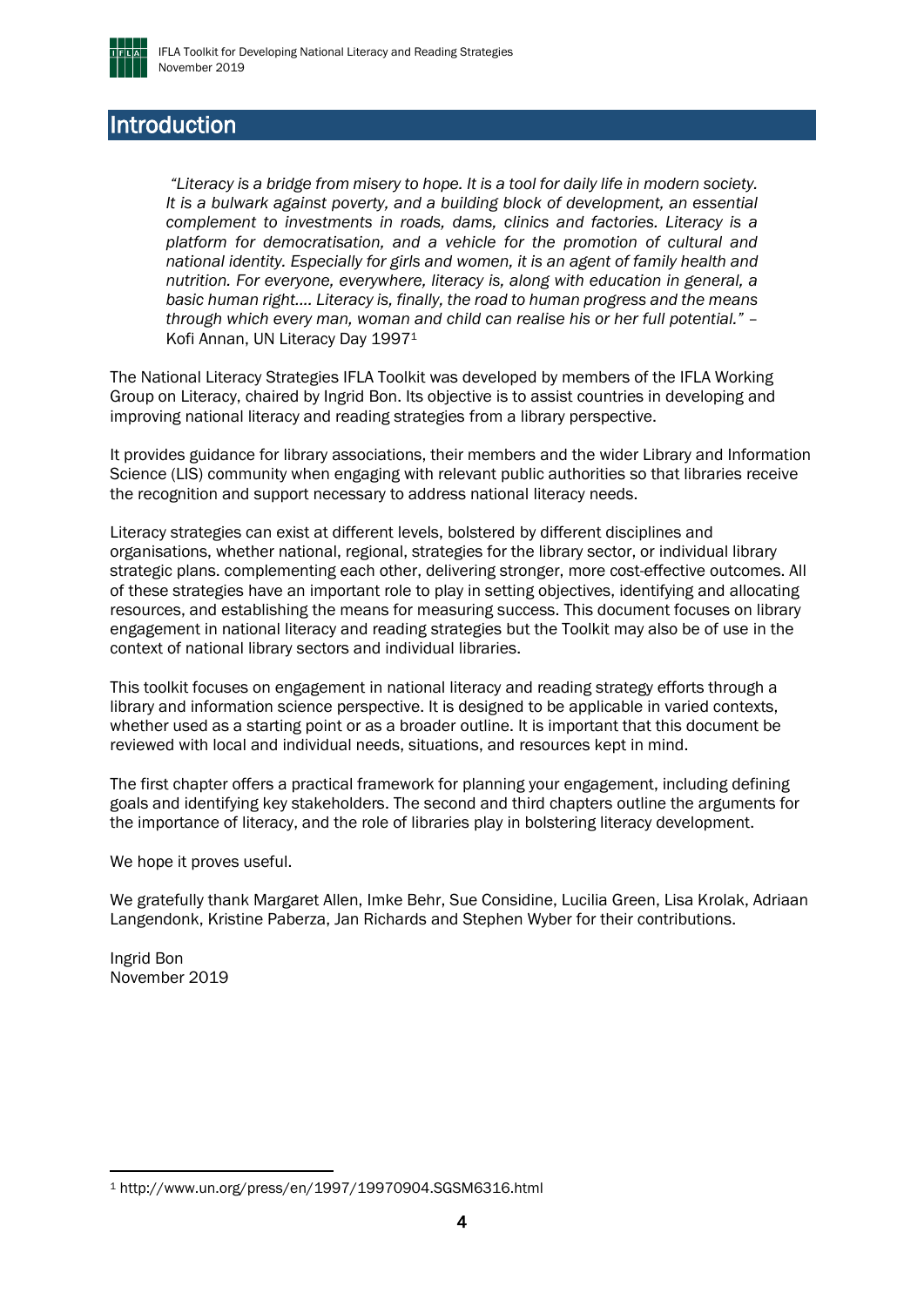

### <span id="page-3-0"></span>Introduction

*"Literacy is a bridge from misery to hope. It is a tool for daily life in modern society. It is a bulwark against poverty, and a building block of development, an essential complement to investments in roads, dams, clinics and factories. Literacy is a platform for democratisation, and a vehicle for the promotion of cultural and national identity. Especially for girls and women, it is an agent of family health and nutrition. For everyone, everywhere, literacy is, along with education in general, a basic human right.... Literacy is, finally, the road to human progress and the means through which every man, woman and child can realise his or her full potential."* – Kofi Annan, UN Literacy Day 1997<sup>1</sup>

The National Literacy Strategies IFLA Toolkit was developed by members of the IFLA Working Group on Literacy, chaired by Ingrid Bon. Its objective is to assist countries in developing and improving national literacy and reading strategies from a library perspective.

It provides guidance for library associations, their members and the wider Library and Information Science (LIS) community when engaging with relevant public authorities so that libraries receive the recognition and support necessary to address national literacy needs.

Literacy strategies can exist at different levels, bolstered by different disciplines and organisations, whether national, regional, strategies for the library sector, or individual library strategic plans. complementing each other, delivering stronger, more cost-effective outcomes. All of these strategies have an important role to play in setting objectives, identifying and allocating resources, and establishing the means for measuring success. This document focuses on library engagement in national literacy and reading strategies but the Toolkit may also be of use in the context of national library sectors and individual libraries.

This toolkit focuses on engagement in national literacy and reading strategy efforts through a library and information science perspective. It is designed to be applicable in varied contexts, whether used as a starting point or as a broader outline. It is important that this document be reviewed with local and individual needs, situations, and resources kept in mind.

The first chapter offers a practical framework for planning your engagement, including defining goals and identifying key stakeholders. The second and third chapters outline the arguments for the importance of literacy, and the role of libraries play in bolstering literacy development.

We hope it proves useful.

We gratefully thank Margaret Allen, Imke Behr, Sue Considine, Lucilia Green, Lisa Krolak, Adriaan Langendonk, Kristine Paberza, Jan Richards and Stephen Wyber for their contributions.

Ingrid Bon November 2019

<sup>1</sup> http://www.un.org/press/en/1997/19970904.SGSM6316.html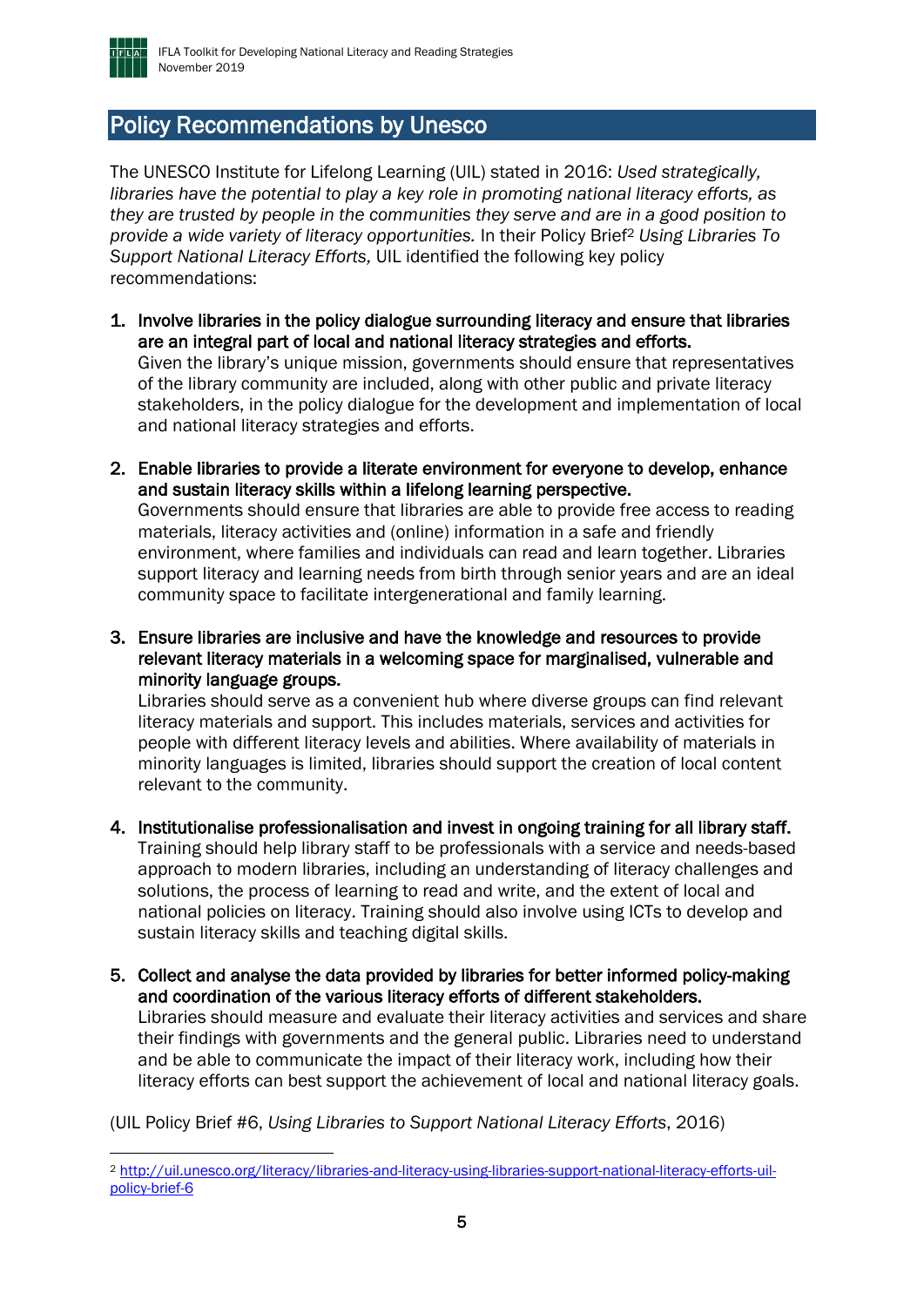

## <span id="page-4-0"></span>Policy Recommendations by Unesco

The UNESCO Institute for Lifelong Learning (UIL) stated in 2016: *Used strategically, libraries have the potential to play a key role in promoting national literacy efforts, as they are trusted by people in the communities they serve and are in a good position to provide a wide variety of literacy opportunities.* In their Policy Brief<sup>2</sup> *Using Libraries To Support National Literacy Efforts,* UIL identified the following key policy recommendations:

- 1. Involve libraries in the policy dialogue surrounding literacy and ensure that libraries are an integral part of local and national literacy strategies and efforts. Given the library's unique mission, governments should ensure that representatives of the library community are included, along with other public and private literacy stakeholders, in the policy dialogue for the development and implementation of local and national literacy strategies and efforts.
- 2. Enable libraries to provide a literate environment for everyone to develop, enhance and sustain literacy skills within a lifelong learning perspective. Governments should ensure that libraries are able to provide free access to reading materials, literacy activities and (online) information in a safe and friendly environment, where families and individuals can read and learn together. Libraries support literacy and learning needs from birth through senior years and are an ideal community space to facilitate intergenerational and family learning.
- 3. Ensure libraries are inclusive and have the knowledge and resources to provide relevant literacy materials in a welcoming space for marginalised, vulnerable and minority language groups.

Libraries should serve as a convenient hub where diverse groups can find relevant literacy materials and support. This includes materials, services and activities for people with different literacy levels and abilities. Where availability of materials in minority languages is limited, libraries should support the creation of local content relevant to the community.

- 4. Institutionalise professionalisation and invest in ongoing training for all library staff. Training should help library staff to be professionals with a service and needs-based approach to modern libraries, including an understanding of literacy challenges and solutions, the process of learning to read and write, and the extent of local and national policies on literacy. Training should also involve using ICTs to develop and sustain literacy skills and teaching digital skills.
- 5. Collect and analyse the data provided by libraries for better informed policy-making and coordination of the various literacy efforts of different stakeholders. Libraries should measure and evaluate their literacy activities and services and share their findings with governments and the general public. Libraries need to understand and be able to communicate the impact of their literacy work, including how their literacy efforts can best support the achievement of local and national literacy goals.

(UIL Policy Brief #6, *Using Libraries to Support National Literacy Efforts*, 2016)

<sup>2</sup> [http://uil.unesco.org/literacy/libraries-and-literacy-using-libraries-support-national-literacy-efforts-uil](http://uil.unesco.org/literacy/libraries-and-literacy-using-libraries-support-national-literacy-efforts-uil-policy-brief-6)[policy-brief-6](http://uil.unesco.org/literacy/libraries-and-literacy-using-libraries-support-national-literacy-efforts-uil-policy-brief-6)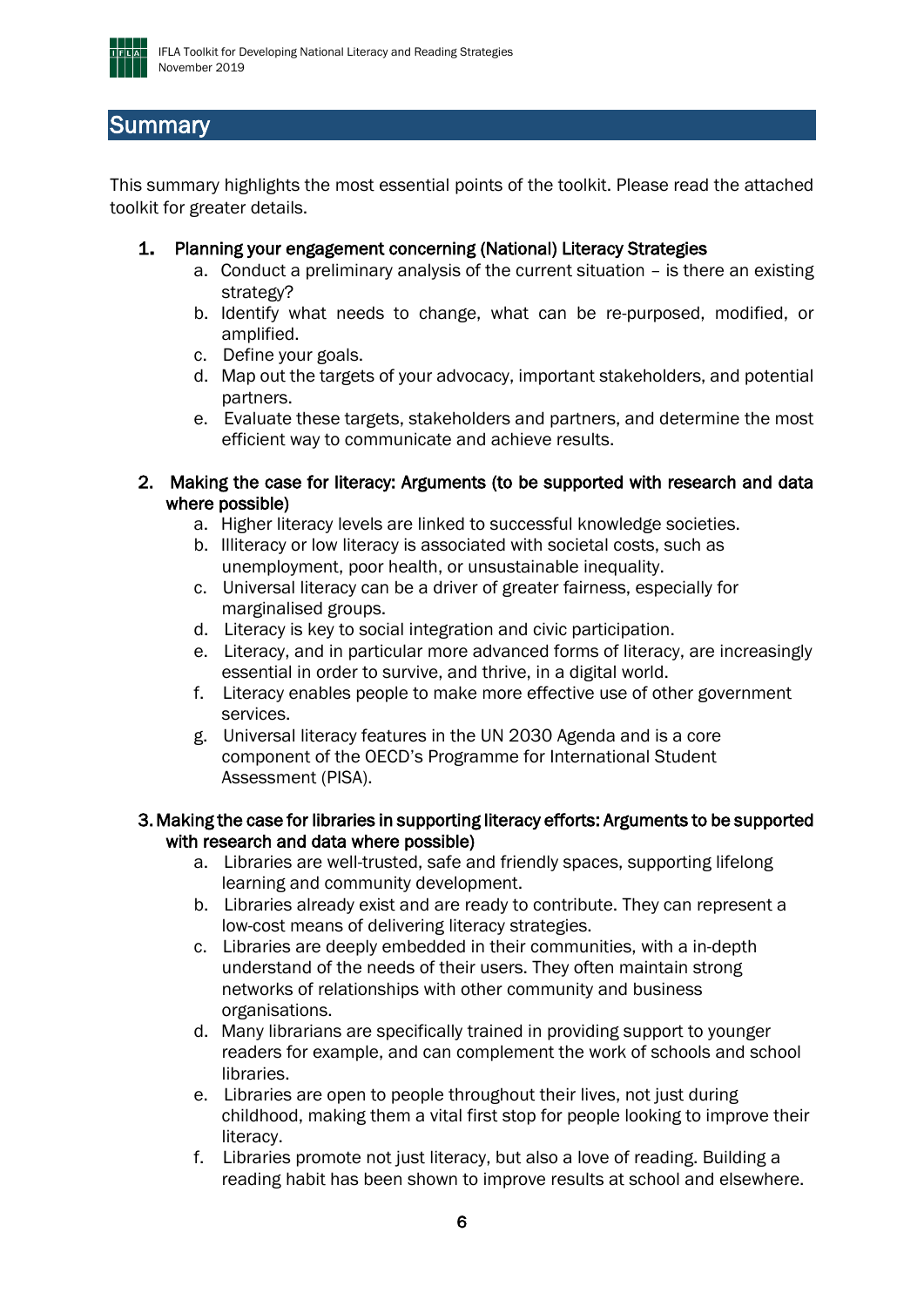

## <span id="page-5-0"></span>**Summary**

This summary highlights the most essential points of the toolkit. Please read the attached toolkit for greater details.

- 1. Planning your engagement concerning (National) Literacy Strategies
	- a. Conduct a preliminary analysis of the current situation is there an existing strategy?
	- b. Identify what needs to change, what can be re-purposed, modified, or amplified.
	- c. Define your goals.
	- d. Map out the targets of your advocacy, important stakeholders, and potential partners.
	- e. Evaluate these targets, stakeholders and partners, and determine the most efficient way to communicate and achieve results.
- 2. Making the case for literacy: Arguments (to be supported with research and data where possible)
	- a. Higher literacy levels are linked to successful knowledge societies.
	- b. Illiteracy or low literacy is associated with societal costs, such as unemployment, poor health, or unsustainable inequality.
	- c. Universal literacy can be a driver of greater fairness, especially for marginalised groups.
	- d. Literacy is key to social integration and civic participation.
	- e. Literacy, and in particular more advanced forms of literacy, are increasingly essential in order to survive, and thrive, in a digital world.
	- f. Literacy enables people to make more effective use of other government services.
	- g. Universal literacy features in the UN 2030 Agenda and is a core component of the OECD's Programme for International Student Assessment (PISA).

#### 3. Making the case for libraries in supporting literacy efforts: Arguments to be supported with research and data where possible)

- a. Libraries are well-trusted, safe and friendly spaces, supporting lifelong learning and community development.
- b. Libraries already exist and are ready to contribute. They can represent a low-cost means of delivering literacy strategies.
- c. Libraries are deeply embedded in their communities, with a in-depth understand of the needs of their users. They often maintain strong networks of relationships with other community and business organisations.
- d. Many librarians are specifically trained in providing support to younger readers for example, and can complement the work of schools and school libraries.
- e. Libraries are open to people throughout their lives, not just during childhood, making them a vital first stop for people looking to improve their literacy.
- f. Libraries promote not just literacy, but also a love of reading. Building a reading habit has been shown to improve results at school and elsewhere.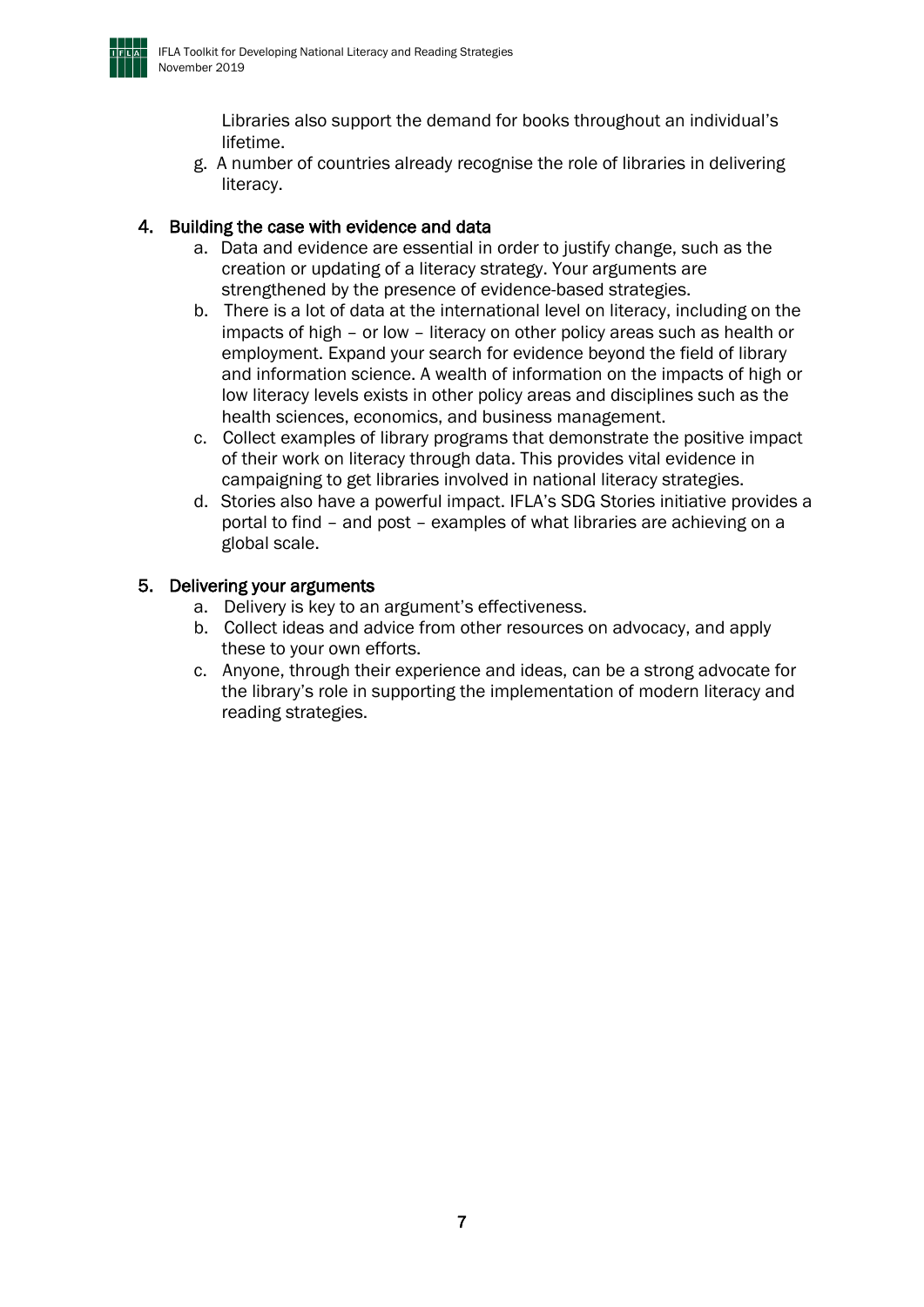

Libraries also support the demand for books throughout an individual's lifetime.

g. A number of countries already recognise the role of libraries in delivering literacy.

#### 4. Building the case with evidence and data

- a. Data and evidence are essential in order to justify change, such as the creation or updating of a literacy strategy. Your arguments are strengthened by the presence of evidence-based strategies.
- b. There is a lot of data at the international level on literacy, including on the impacts of high – or low – literacy on other policy areas such as health or employment. Expand your search for evidence beyond the field of library and information science. A wealth of information on the impacts of high or low literacy levels exists in other policy areas and disciplines such as the health sciences, economics, and business management.
- c. Collect examples of library programs that demonstrate the positive impact of their work on literacy through data. This provides vital evidence in campaigning to get libraries involved in national literacy strategies.
- d. Stories also have a powerful impact. IFLA's SDG Stories initiative provides a portal to find – and post – examples of what libraries are achieving on a global scale.

#### 5. Delivering your arguments

- a. Delivery is key to an argument's effectiveness.
- b. Collect ideas and advice from other resources on advocacy, and apply these to your own efforts.
- c. Anyone, through their experience and ideas, can be a strong advocate for the library's role in supporting the implementation of modern literacy and reading strategies.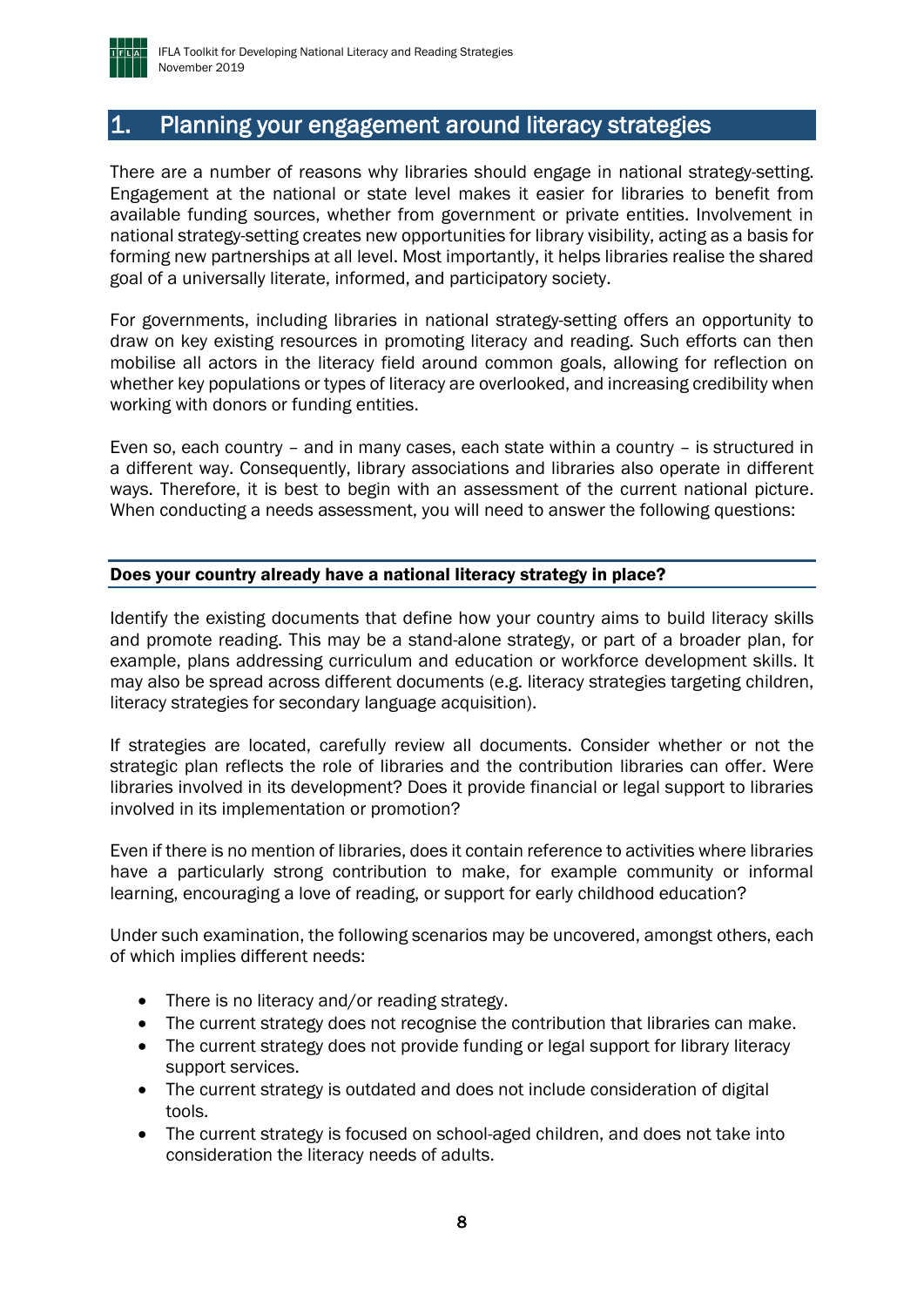

## <span id="page-7-0"></span>1. Planning your engagement around literacy strategies

There are a number of reasons why libraries should engage in national strategy-setting. Engagement at the national or state level makes it easier for libraries to benefit from available funding sources, whether from government or private entities. Involvement in national strategy-setting creates new opportunities for library visibility, acting as a basis for forming new partnerships at all level. Most importantly, it helps libraries realise the shared goal of a universally literate, informed, and participatory society.

For governments, including libraries in national strategy-setting offers an opportunity to draw on key existing resources in promoting literacy and reading. Such efforts can then mobilise all actors in the literacy field around common goals, allowing for reflection on whether key populations or types of literacy are overlooked, and increasing credibility when working with donors or funding entities.

Even so, each country – and in many cases, each state within a country – is structured in a different way. Consequently, library associations and libraries also operate in different ways. Therefore, it is best to begin with an assessment of the current national picture. When conducting a needs assessment, you will need to answer the following questions:

#### <span id="page-7-1"></span>Does your country already have a national literacy strategy in place?

Identify the existing documents that define how your country aims to build literacy skills and promote reading. This may be a stand-alone strategy, or part of a broader plan, for example, plans addressing curriculum and education or workforce development skills. It may also be spread across different documents (e.g. literacy strategies targeting children, literacy strategies for secondary language acquisition).

If strategies are located, carefully review all documents. Consider whether or not the strategic plan reflects the role of libraries and the contribution libraries can offer. Were libraries involved in its development? Does it provide financial or legal support to libraries involved in its implementation or promotion?

Even if there is no mention of libraries, does it contain reference to activities where libraries have a particularly strong contribution to make, for example community or informal learning, encouraging a love of reading, or support for early childhood education?

Under such examination, the following scenarios may be uncovered, amongst others, each of which implies different needs:

- There is no literacy and/or reading strategy.
- The current strategy does not recognise the contribution that libraries can make.
- The current strategy does not provide funding or legal support for library literacy support services.
- The current strategy is outdated and does not include consideration of digital tools.
- The current strategy is focused on school-aged children, and does not take into consideration the literacy needs of adults.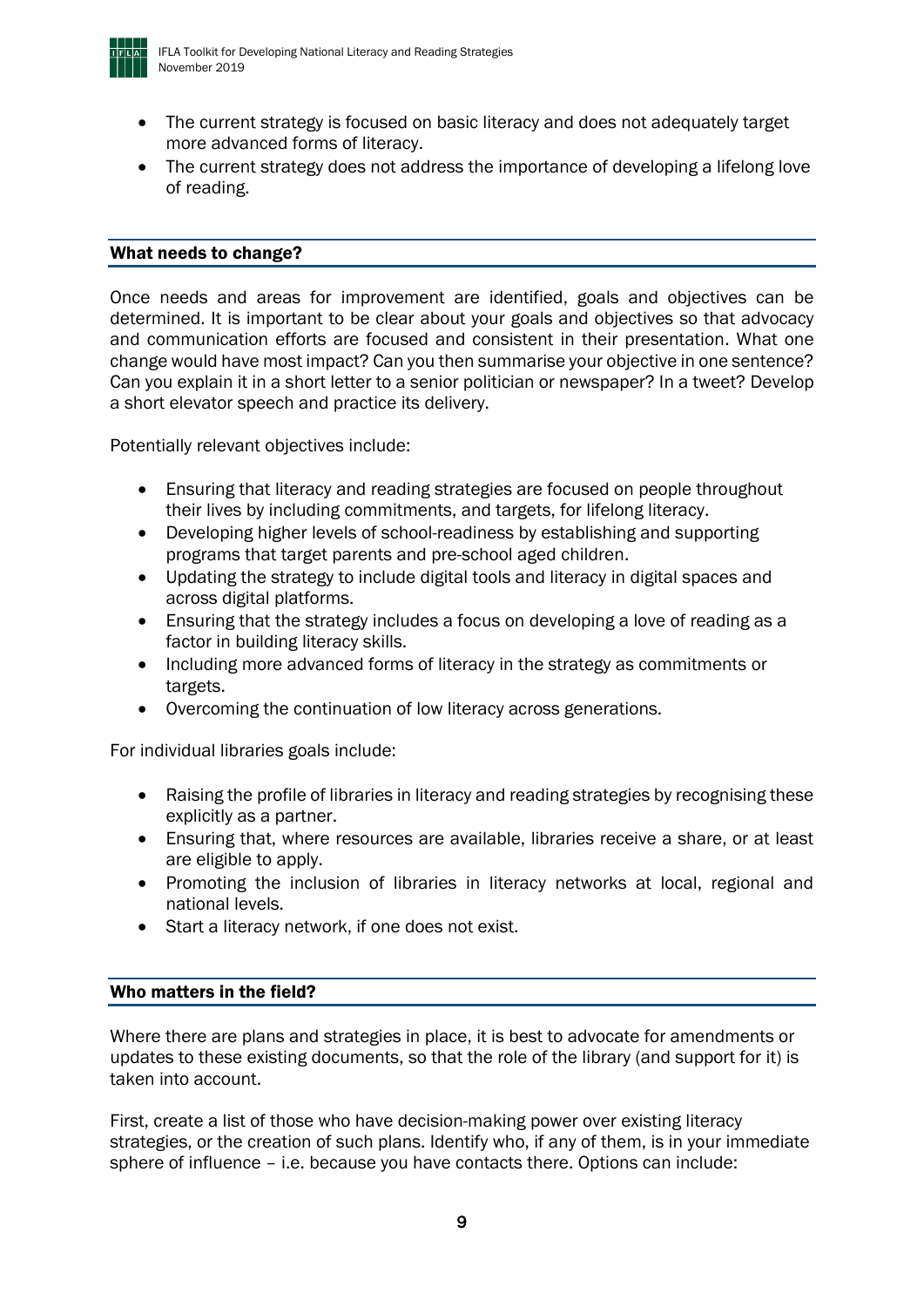

- The current strategy is focused on basic literacy and does not adequately target more advanced forms of literacy.
- The current strategy does not address the importance of developing a lifelong love of reading.

#### <span id="page-8-0"></span>What needs to change?

Once needs and areas for improvement are identified, goals and objectives can be determined. It is important to be clear about your goals and objectives so that advocacy and communication efforts are focused and consistent in their presentation. What one change would have most impact? Can you then summarise your objective in one sentence? Can you explain it in a short letter to a senior politician or newspaper? In a tweet? Develop a short elevator speech and practice its delivery.

Potentially relevant objectives include:

- Ensuring that literacy and reading strategies are focused on people throughout their lives by including commitments, and targets, for lifelong literacy.
- Developing higher levels of school-readiness by establishing and supporting programs that target parents and pre-school aged children.
- Updating the strategy to include digital tools and literacy in digital spaces and across digital platforms.
- Ensuring that the strategy includes a focus on developing a love of reading as a factor in building literacy skills.
- Including more advanced forms of literacy in the strategy as commitments or targets.
- Overcoming the continuation of low literacy across generations.

For individual libraries goals include:

- Raising the profile of libraries in literacy and reading strategies by recognising these explicitly as a partner.
- Ensuring that, where resources are available, libraries receive a share, or at least are eligible to apply.
- Promoting the inclusion of libraries in literacy networks at local, regional and national levels.
- Start a literacy network, if one does not exist.

#### <span id="page-8-1"></span>Who matters in the field?

Where there are plans and strategies in place, it is best to advocate for amendments or updates to these existing documents, so that the role of the library (and support for it) is taken into account.

First, create a list of those who have decision-making power over existing literacy strategies, or the creation of such plans. Identify who, if any of them, is in your immediate sphere of influence – i.e. because you have contacts there. Options can include: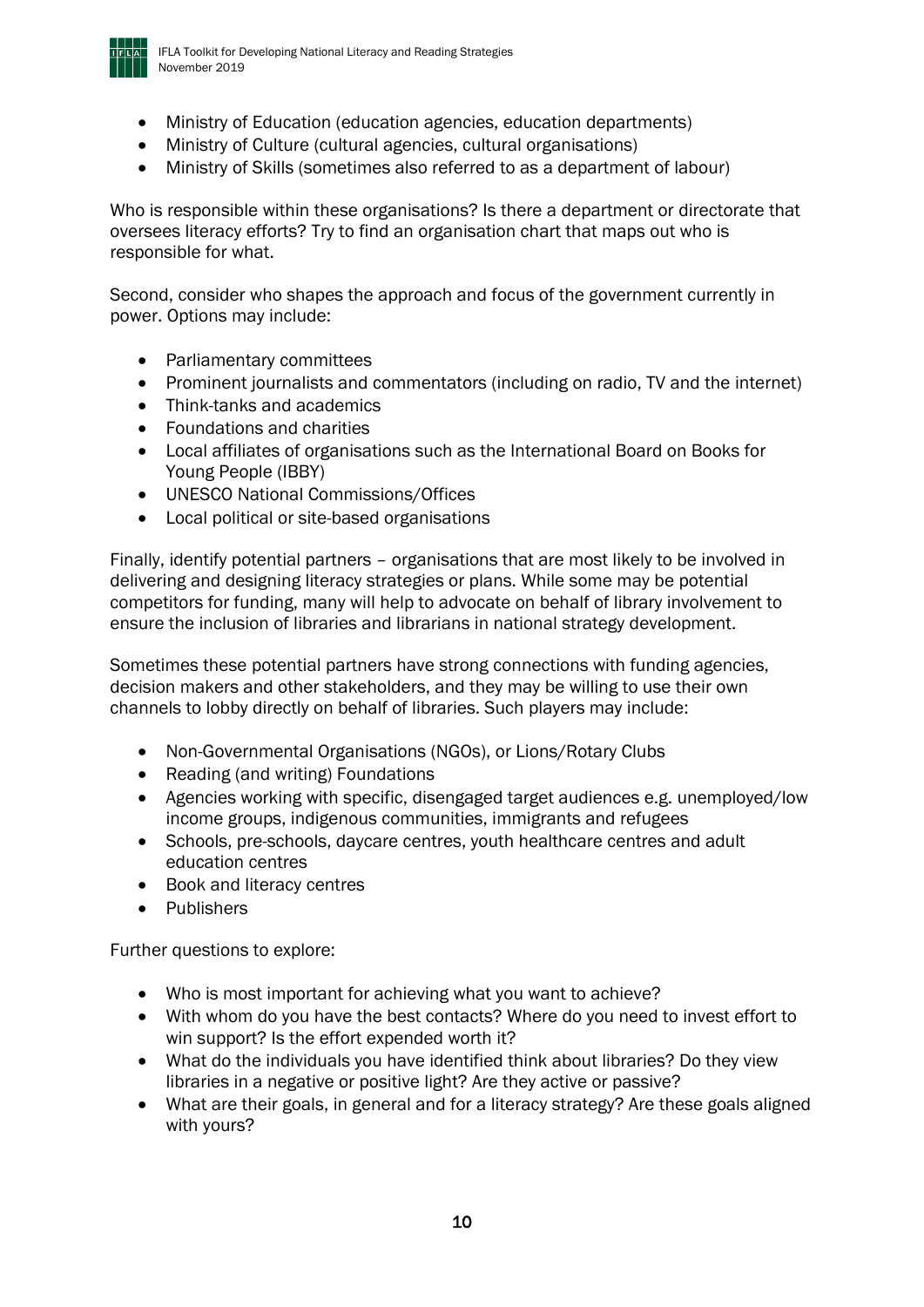

- Ministry of Education (education agencies, education departments)
- Ministry of Culture (cultural agencies, cultural organisations)
- Ministry of Skills (sometimes also referred to as a department of labour)

Who is responsible within these organisations? Is there a department or directorate that oversees literacy efforts? Try to find an organisation chart that maps out who is responsible for what.

Second, consider who shapes the approach and focus of the government currently in power. Options may include:

- Parliamentary committees
- Prominent journalists and commentators (including on radio, TV and the internet)
- Think-tanks and academics
- Foundations and charities
- Local affiliates of organisations such as the International Board on Books for Young People (IBBY)
- UNESCO National Commissions/Offices
- Local political or site-based organisations

Finally, identify potential partners – organisations that are most likely to be involved in delivering and designing literacy strategies or plans. While some may be potential competitors for funding, many will help to advocate on behalf of library involvement to ensure the inclusion of libraries and librarians in national strategy development.

Sometimes these potential partners have strong connections with funding agencies, decision makers and other stakeholders, and they may be willing to use their own channels to lobby directly on behalf of libraries. Such players may include:

- Non-Governmental Organisations (NGOs), or Lions/Rotary Clubs
- Reading (and writing) Foundations
- Agencies working with specific, disengaged target audiences e.g. unemployed/low income groups, indigenous communities, immigrants and refugees
- Schools, pre-schools, daycare centres, youth healthcare centres and adult education centres
- Book and literacy centres
- Publishers

Further questions to explore:

- Who is most important for achieving what you want to achieve?
- With whom do you have the best contacts? Where do you need to invest effort to win support? Is the effort expended worth it?
- What do the individuals you have identified think about libraries? Do they view libraries in a negative or positive light? Are they active or passive?
- What are their goals, in general and for a literacy strategy? Are these goals aligned with yours?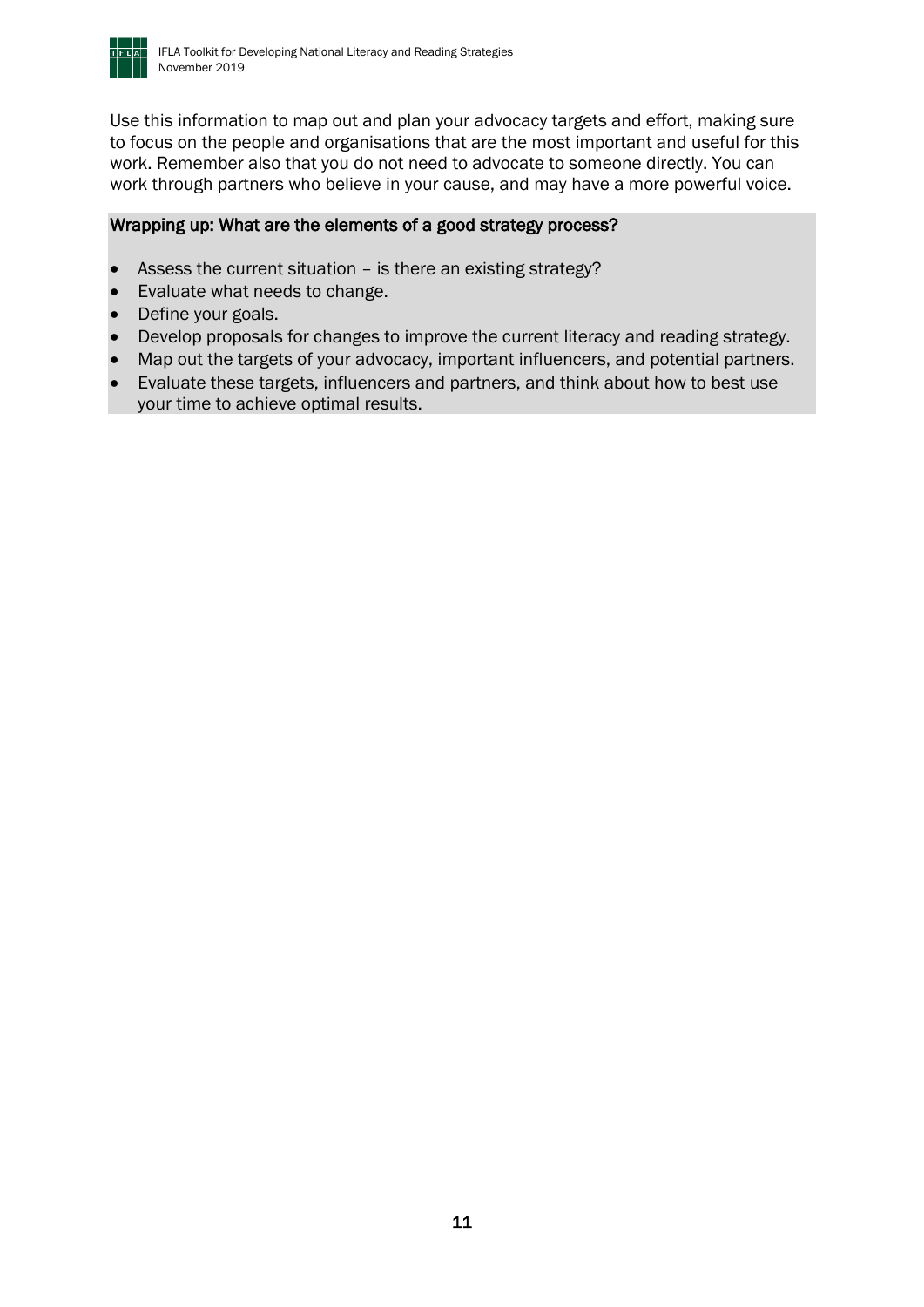

Use this information to map out and plan your advocacy targets and effort, making sure to focus on the people and organisations that are the most important and useful for this work. Remember also that you do not need to advocate to someone directly. You can work through partners who believe in your cause, and may have a more powerful voice.

#### Wrapping up: What are the elements of a good strategy process?

- Assess the current situation is there an existing strategy?
- Evaluate what needs to change.
- Define your goals.
- Develop proposals for changes to improve the current literacy and reading strategy.
- Map out the targets of your advocacy, important influencers, and potential partners.
- Evaluate these targets, influencers and partners, and think about how to best use your time to achieve optimal results.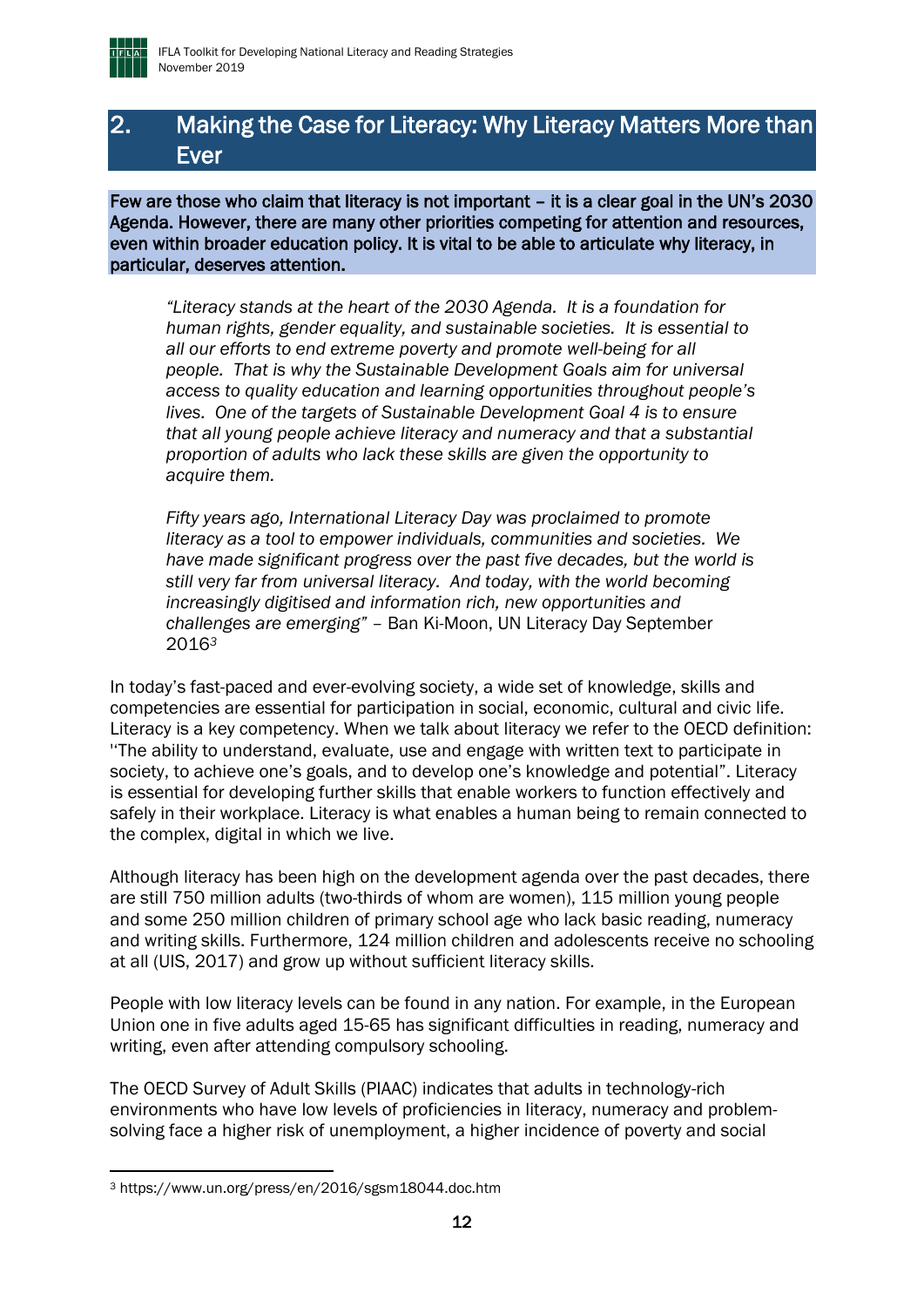

## <span id="page-11-0"></span>2. Making the Case for Literacy: Why Literacy Matters More than Ever

Few are those who claim that literacy is not important – it is a clear goal in the UN's 2030 Agenda. However, there are many other priorities competing for attention and resources, even within broader education policy. It is vital to be able to articulate why literacy, in particular, deserves attention.

*"Literacy stands at the heart of the 2030 Agenda. It is a foundation for human rights, gender equality, and sustainable societies. It is essential to all our efforts to end extreme poverty and promote well-being for all people. That is why the Sustainable Development Goals aim for universal access to quality education and learning opportunities throughout people's lives. One of the targets of Sustainable Development Goal 4 is to ensure that all young people achieve literacy and numeracy and that a substantial proportion of adults who lack these skills are given the opportunity to acquire them.* 

*Fifty years ago, International Literacy Day was proclaimed to promote literacy as a tool to empower individuals, communities and societies. We have made significant progress over the past five decades, but the world is still very far from universal literacy. And today, with the world becoming increasingly digitised and information rich, new opportunities and challenges are emerging" –* Ban Ki-Moon, UN Literacy Day September 2016*<sup>3</sup>*

In today's fast-paced and ever-evolving society, a wide set of knowledge, skills and competencies are essential for participation in social, economic, cultural and civic life. Literacy is a key competency. When we talk about literacy we refer to the OECD definition: ''The ability to understand, evaluate, use and engage with written text to participate in society, to achieve one's goals, and to develop one's knowledge and potential". Literacy is essential for developing further skills that enable workers to function effectively and safely in their workplace. Literacy is what enables a human being to remain connected to the complex, digital in which we live.

Although literacy has been high on the development agenda over the past decades, there are still 750 million adults (two-thirds of whom are women), 115 million young people and some 250 million children of primary school age who lack basic reading, numeracy and writing skills. Furthermore, 124 million children and adolescents receive no schooling at all (UIS, 2017) and grow up without sufficient literacy skills.

People with low literacy levels can be found in any nation. For example, in the European Union one in five adults aged 15-65 has significant difficulties in reading, numeracy and writing, even after attending compulsory schooling.

The OECD Survey of Adult Skills (PIAAC) indicates that adults in technology-rich environments who have low levels of proficiencies in literacy, numeracy and problemsolving face a higher risk of unemployment, a higher incidence of poverty and social

<sup>3</sup> https://www.un.org/press/en/2016/sgsm18044.doc.htm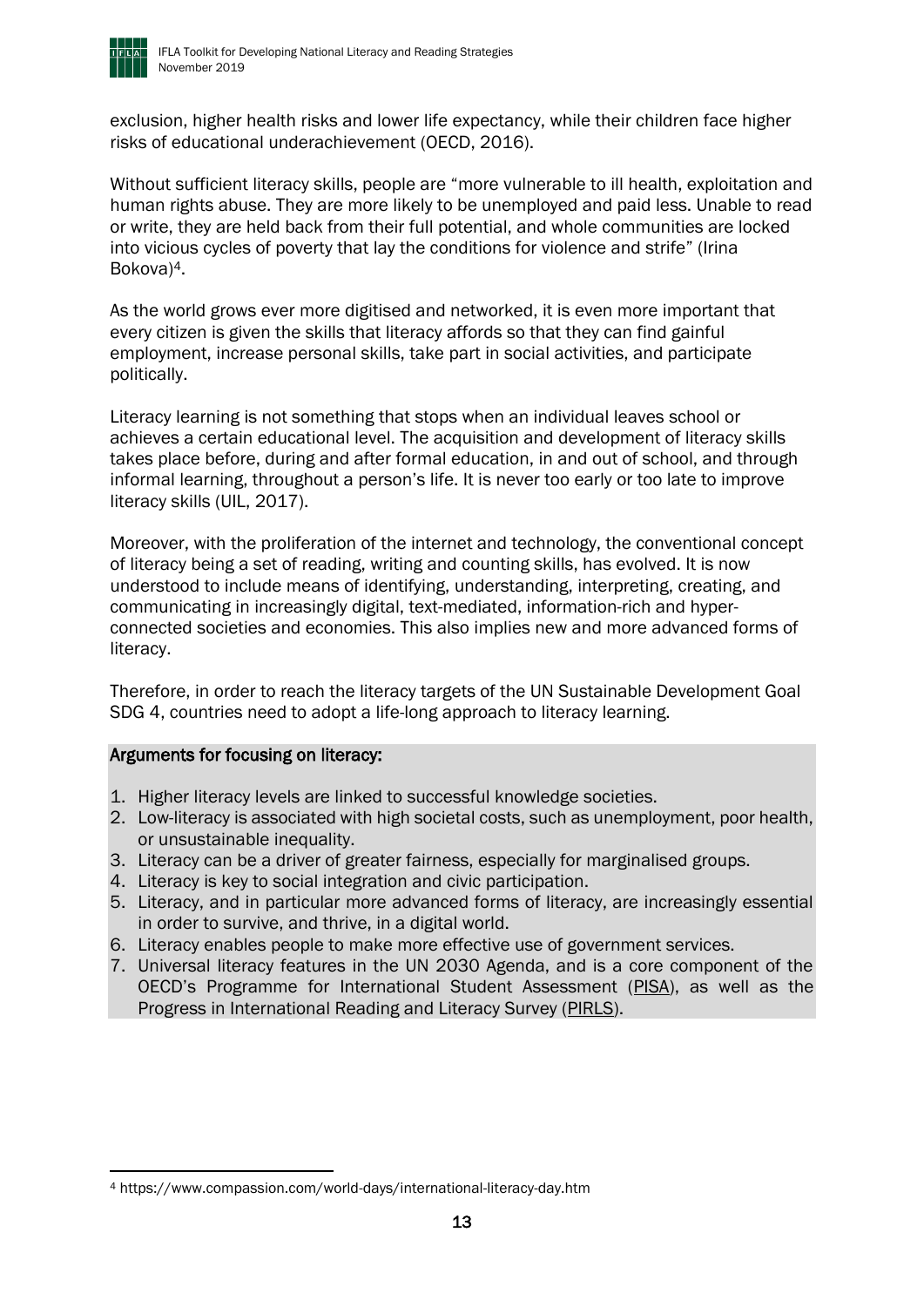

exclusion, higher health risks and lower life expectancy, while their children face higher risks of educational underachievement (OECD, 2016).

Without sufficient literacy skills, people are "more vulnerable to ill health, exploitation and human rights abuse. They are more likely to be unemployed and paid less. Unable to read or write, they are held back from their full potential, and whole communities are locked into vicious cycles of poverty that lay the conditions for violence and strife" (Irina Bokova)4.

As the world grows ever more digitised and networked, it is even more important that every citizen is given the skills that literacy affords so that they can find gainful employment, increase personal skills, take part in social activities, and participate politically.

Literacy learning is not something that stops when an individual leaves school or achieves a certain educational level. The acquisition and development of literacy skills takes place before, during and after formal education, in and out of school, and through informal learning, throughout a person's life. It is never too early or too late to improve literacy skills (UIL, 2017).

Moreover, with the proliferation of the internet and technology, the conventional concept of literacy being a set of reading, writing and counting skills, has evolved. It is now understood to include means of identifying, understanding, interpreting, creating, and communicating in increasingly digital, text-mediated, information-rich and hyperconnected societies and economies. This also implies new and more advanced forms of literacy.

Therefore, in order to reach the literacy targets of the UN Sustainable Development Goal SDG 4, countries need to adopt a life-long approach to literacy learning.

#### Arguments for focusing on literacy:

- 1. Higher literacy levels are linked to successful knowledge societies.
- 2. Low-literacy is associated with high societal costs, such as unemployment, poor health, or unsustainable inequality.
- 3. Literacy can be a driver of greater fairness, especially for marginalised groups.
- 4. Literacy is key to social integration and civic participation.
- 5. Literacy, and in particular more advanced forms of literacy, are increasingly essential in order to survive, and thrive, in a digital world.
- 6. Literacy enables people to make more effective use of government services.
- 7. Universal literacy features in the UN 2030 Agenda, and is a core component of the OECD's Programme for International Student Assessment ([PISA\)](file:///C:/Users/stephen/AppData/Local/Microsoft/Windows/INetCache/Content.Outlook/L8A1U3G2/pisa.oecd.org), as well as the Progress in International Reading and Literacy Survey [\(PIRLS\)](https://en.wikipedia.org/wiki/Progress_in_International_Reading_Literacy_Study).

<sup>4</sup> https://www.compassion.com/world-days/international-literacy-day.htm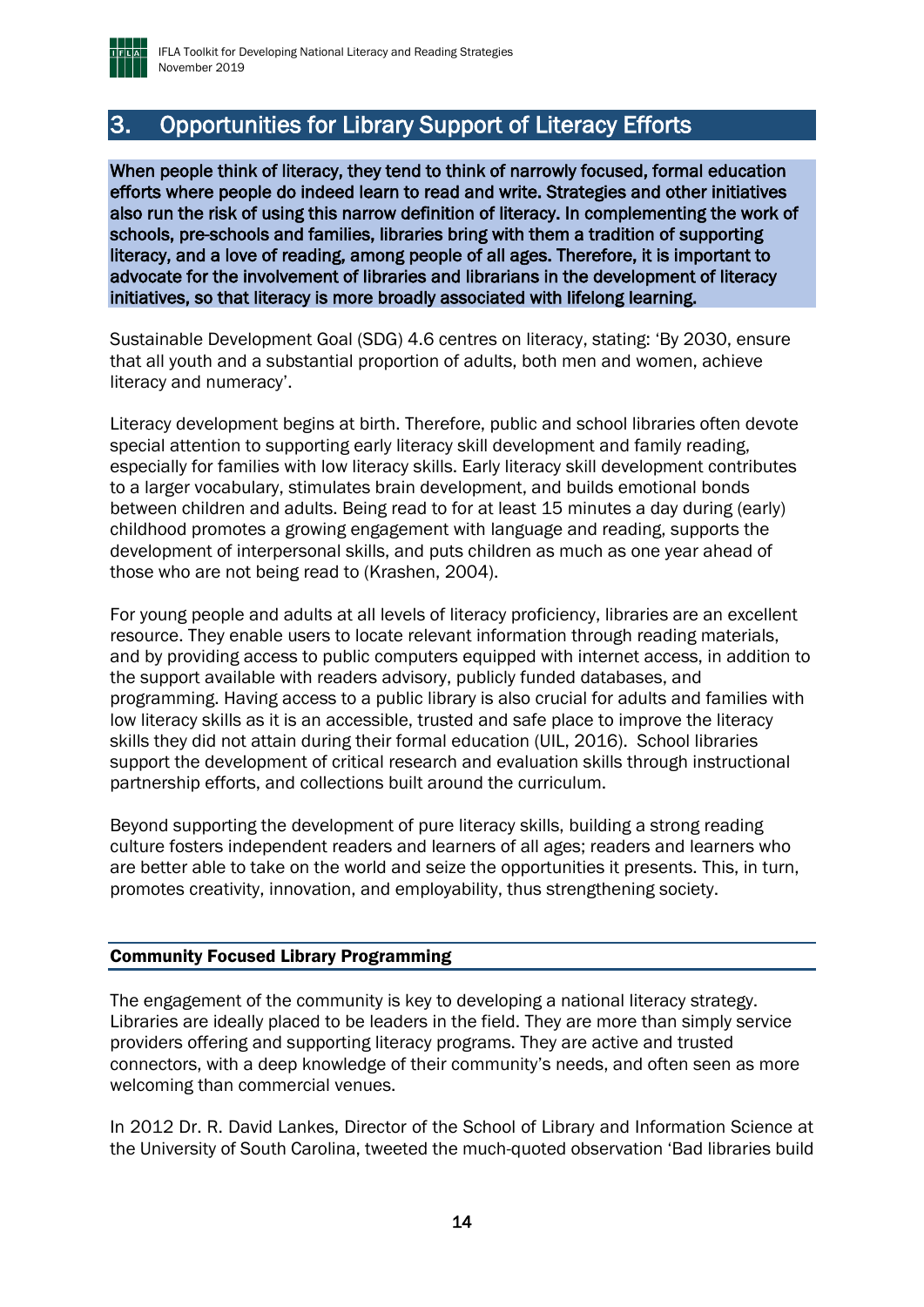

## <span id="page-13-0"></span>3. Opportunities for Library Support of Literacy Efforts

When people think of literacy, they tend to think of narrowly focused, formal education efforts where people do indeed learn to read and write. Strategies and other initiatives also run the risk of using this narrow definition of literacy. In complementing the work of schools, pre-schools and families, libraries bring with them a tradition of supporting literacy, and a love of reading, among people of all ages. Therefore, it is important to advocate for the involvement of libraries and librarians in the development of literacy initiatives, so that literacy is more broadly associated with lifelong learning.

Sustainable Development Goal (SDG) 4.6 centres on literacy, stating: 'By 2030, ensure that all youth and a substantial proportion of adults, both men and women, achieve literacy and numeracy'.

Literacy development begins at birth. Therefore, public and school libraries often devote special attention to supporting early literacy skill development and family reading, especially for families with low literacy skills. Early literacy skill development contributes to a larger vocabulary, stimulates brain development, and builds emotional bonds between children and adults. Being read to for at least 15 minutes a day during (early) childhood promotes a growing engagement with language and reading, supports the development of interpersonal skills, and puts children as much as one year ahead of those who are not being read to (Krashen, 2004).

For young people and adults at all levels of literacy proficiency, libraries are an excellent resource. They enable users to locate relevant information through reading materials, and by providing access to public computers equipped with internet access, in addition to the support available with readers advisory, publicly funded databases, and programming. Having access to a public library is also crucial for adults and families with low literacy skills as it is an accessible, trusted and safe place to improve the literacy skills they did not attain during their formal education (UIL, 2016). School libraries support the development of critical research and evaluation skills through instructional partnership efforts, and collections built around the curriculum.

Beyond supporting the development of pure literacy skills, building a strong reading culture fosters independent readers and learners of all ages; readers and learners who are better able to take on the world and seize the opportunities it presents. This, in turn, promotes creativity, innovation, and employability, thus strengthening society.

#### <span id="page-13-1"></span>Community Focused Library Programming

The engagement of the community is key to developing a national literacy strategy. Libraries are ideally placed to be leaders in the field. They are more than simply service providers offering and supporting literacy programs. They are active and trusted connectors, with a deep knowledge of their community's needs, and often seen as more welcoming than commercial venues.

In 2012 Dr. R. David Lankes, Director of the School of Library and Information Science at the University of South Carolina, tweeted the much-quoted observation 'Bad libraries build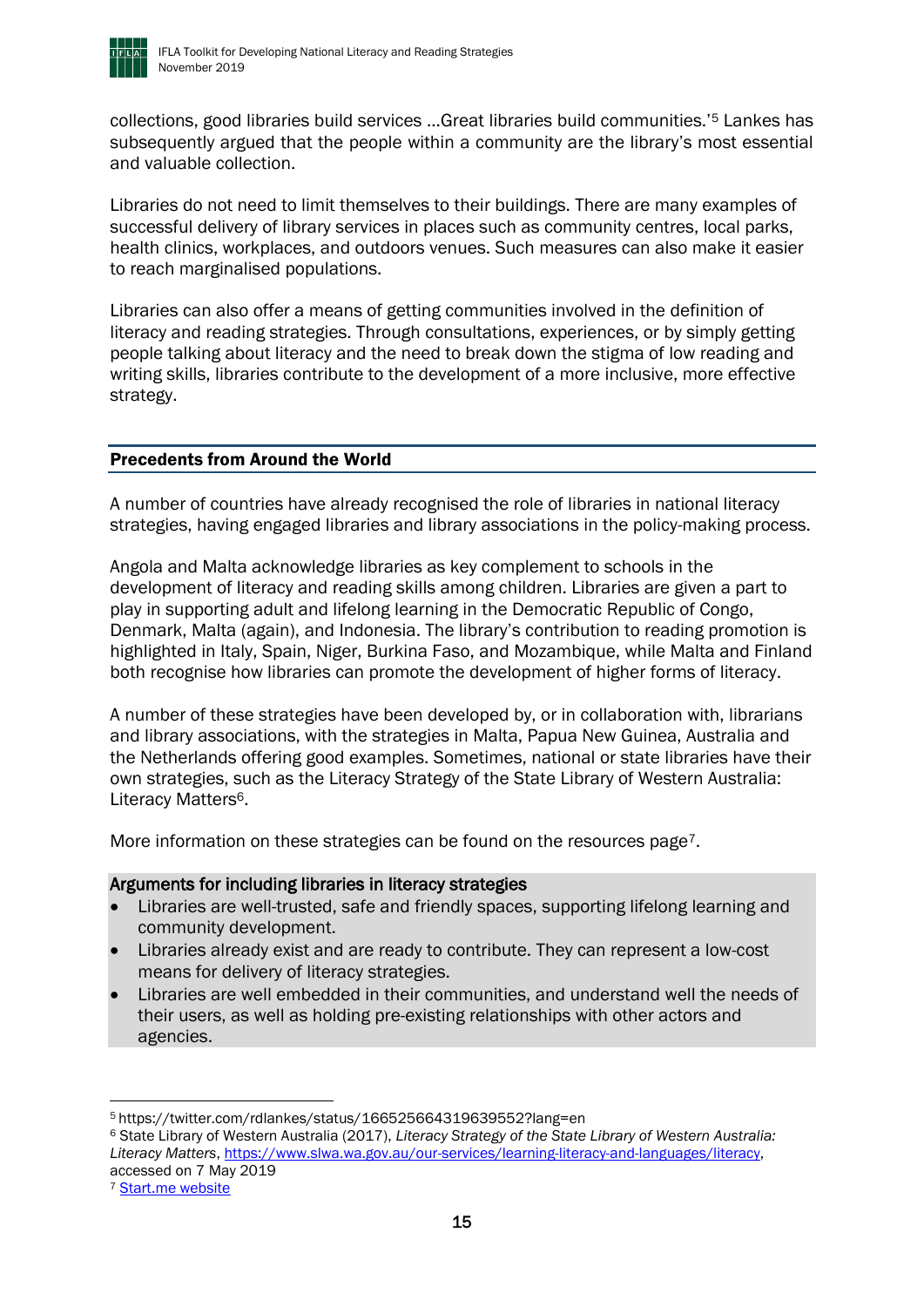

collections, good libraries build services ...Great libraries build communities.'<sup>5</sup> Lankes has subsequently argued that the people within a community are the library's most essential and valuable collection.

Libraries do not need to limit themselves to their buildings. There are many examples of successful delivery of library services in places such as community centres, local parks, health clinics, workplaces, and outdoors venues. Such measures can also make it easier to reach marginalised populations.

Libraries can also offer a means of getting communities involved in the definition of literacy and reading strategies. Through consultations, experiences, or by simply getting people talking about literacy and the need to break down the stigma of low reading and writing skills, libraries contribute to the development of a more inclusive, more effective strategy.

#### <span id="page-14-0"></span>Precedents from Around the World

A number of countries have already recognised the role of libraries in national literacy strategies, having engaged libraries and library associations in the policy-making process.

Angola and Malta acknowledge libraries as key complement to schools in the development of literacy and reading skills among children. Libraries are given a part to play in supporting adult and lifelong learning in the Democratic Republic of Congo, Denmark, Malta (again), and Indonesia. The library's contribution to reading promotion is highlighted in Italy, Spain, Niger, Burkina Faso, and Mozambique, while Malta and Finland both recognise how libraries can promote the development of higher forms of literacy.

A number of these strategies have been developed by, or in collaboration with, librarians and library associations, with the strategies in Malta, Papua New Guinea, Australia and the Netherlands offering good examples. Sometimes, national or state libraries have their own strategies, such as the Literacy Strategy of the State Library of Western Australia: Literacy Matters<sup>6</sup>.

More information on these strategies can be found on the resources page<sup>7</sup>.

#### Arguments for including libraries in literacy strategies

- Libraries are well-trusted, safe and friendly spaces, supporting lifelong learning and community development.
- Libraries already exist and are ready to contribute. They can represent a low-cost means for delivery of literacy strategies.
- Libraries are well embedded in their communities, and understand well the needs of their users, as well as holding pre-existing relationships with other actors and agencies.

<sup>6</sup> State Library of Western Australia (2017), *Literacy Strategy of the State Library of Western Australia: Literacy Matters*, [https://www.slwa.wa.gov.au/our-services/learning-literacy-and-languages/literacy,](https://www.slwa.wa.gov.au/our-services/learning-literacy-and-languages/literacy) accessed on 7 May 2019

<sup>5</sup> https://twitter.com/rdlankes/status/166525664319639552?lang=en

<sup>&</sup>lt;sup>7</sup> [Start.me website](https://start.me/p/Z9eygL/startpagina)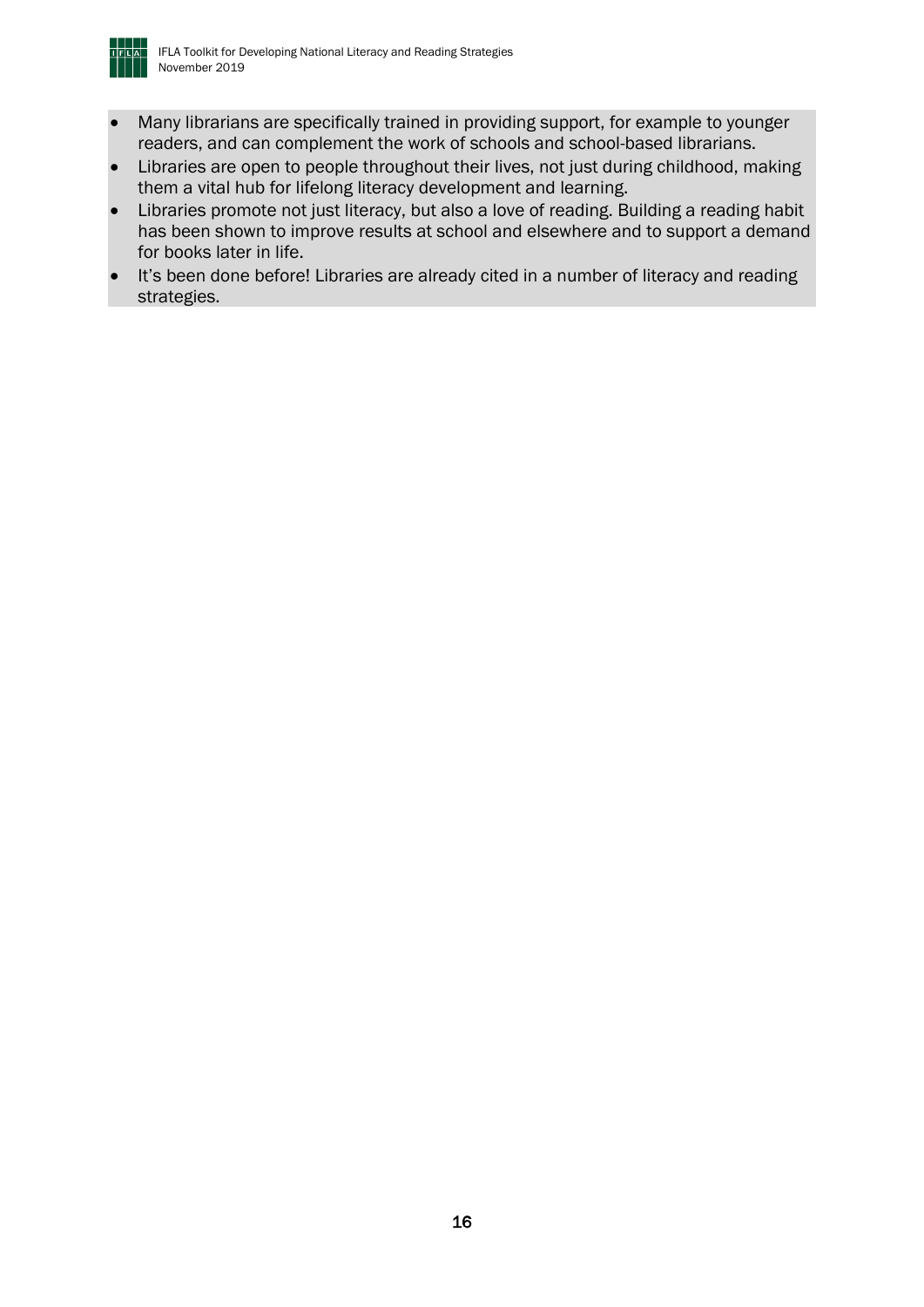

- Many librarians are specifically trained in providing support, for example to younger readers, and can complement the work of schools and school-based librarians.
- Libraries are open to people throughout their lives, not just during childhood, making them a vital hub for lifelong literacy development and learning.
- Libraries promote not just literacy, but also a love of reading. Building a reading habit has been shown to improve results at school and elsewhere and to support a demand for books later in life.
- It's been done before! Libraries are already cited in a number of literacy and reading strategies.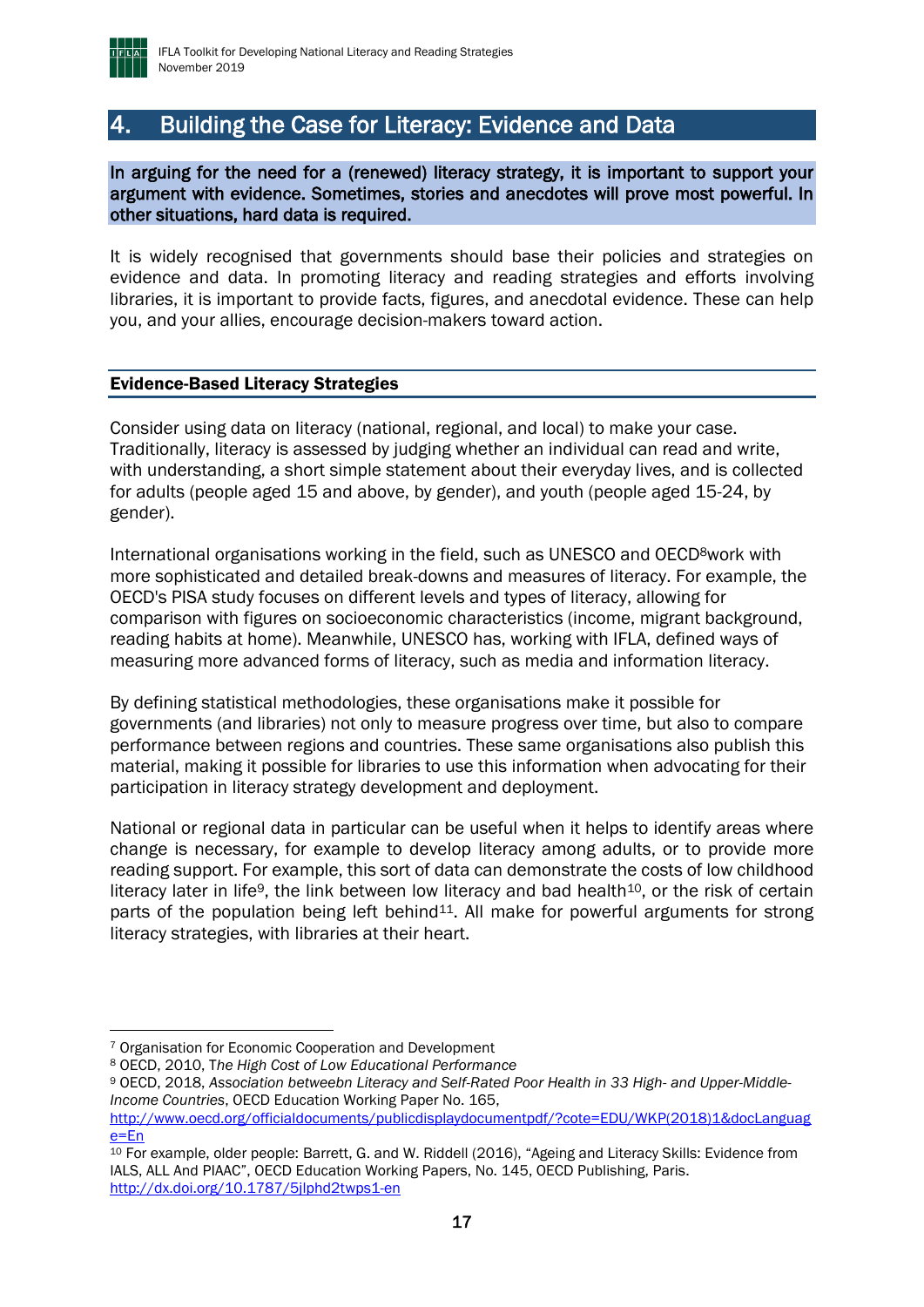

## <span id="page-16-0"></span>4. Building the Case for Literacy: Evidence and Data

In arguing for the need for a (renewed) literacy strategy, it is important to support your argument with evidence. Sometimes, stories and anecdotes will prove most powerful. In other situations, hard data is required.

It is widely recognised that governments should base their policies and strategies on evidence and data. In promoting literacy and reading strategies and efforts involving libraries, it is important to provide facts, figures, and anecdotal evidence. These can help you, and your allies, encourage decision-makers toward action.

#### <span id="page-16-1"></span>Evidence-Based Literacy Strategies

Consider using data on literacy (national, regional, and local) to make your case. Traditionally, literacy is assessed by judging whether an individual can read and write, with understanding, a short simple statement about their everyday lives, and is collected for adults (people aged 15 and above, by gender), and youth (people aged 15-24, by gender).

International organisations working in the field, such as UNESCO and OECD<sup>8</sup>work with more sophisticated and detailed break-downs and measures of literacy. For example, the OECD's PISA study focuses on different levels and types of literacy, allowing for comparison with figures on socioeconomic characteristics (income, migrant background, reading habits at home). Meanwhile, UNESCO has, working with IFLA, defined ways of measuring more advanced forms of literacy, such as media and information literacy.

By defining statistical methodologies, these organisations make it possible for governments (and libraries) not only to measure progress over time, but also to compare performance between regions and countries. These same organisations also publish this material, making it possible for libraries to use this information when advocating for their participation in literacy strategy development and deployment.

National or regional data in particular can be useful when it helps to identify areas where change is necessary, for example to develop literacy among adults, or to provide more reading support. For example, this sort of data can demonstrate the costs of low childhood literacy later in life<sup>9</sup>, the link between low literacy and bad health<sup>10</sup>, or the risk of certain parts of the population being left behind<sup>11</sup>. All make for powerful arguments for strong literacy strategies, with libraries at their heart.

<sup>7</sup> Organisation for Economic Cooperation and Development

<sup>8</sup> OECD, 2010, T*he High Cost of Low Educational Performance*

<sup>9</sup> OECD, 2018, *Association betweebn Literacy and Self-Rated Poor Health in 33 High- and Upper-Middle-Income Countries*, OECD Education Working Paper No. 165,

[http://www.oecd.org/officialdocuments/publicdisplaydocumentpdf/?cote=EDU/WKP\(2018\)1&docLanguag](http://www.oecd.org/officialdocuments/publicdisplaydocumentpdf/?cote=EDU/WKP(2018)1&docLanguage=En) [e=En](http://www.oecd.org/officialdocuments/publicdisplaydocumentpdf/?cote=EDU/WKP(2018)1&docLanguage=En)

<sup>10</sup> For example, older people: Barrett, G. and W. Riddell (2016), "Ageing and Literacy Skills: Evidence from IALS, ALL And PIAAC", OECD Education Working Papers, No. 145, OECD Publishing, Paris. <http://dx.doi.org/10.1787/5jlphd2twps1-en>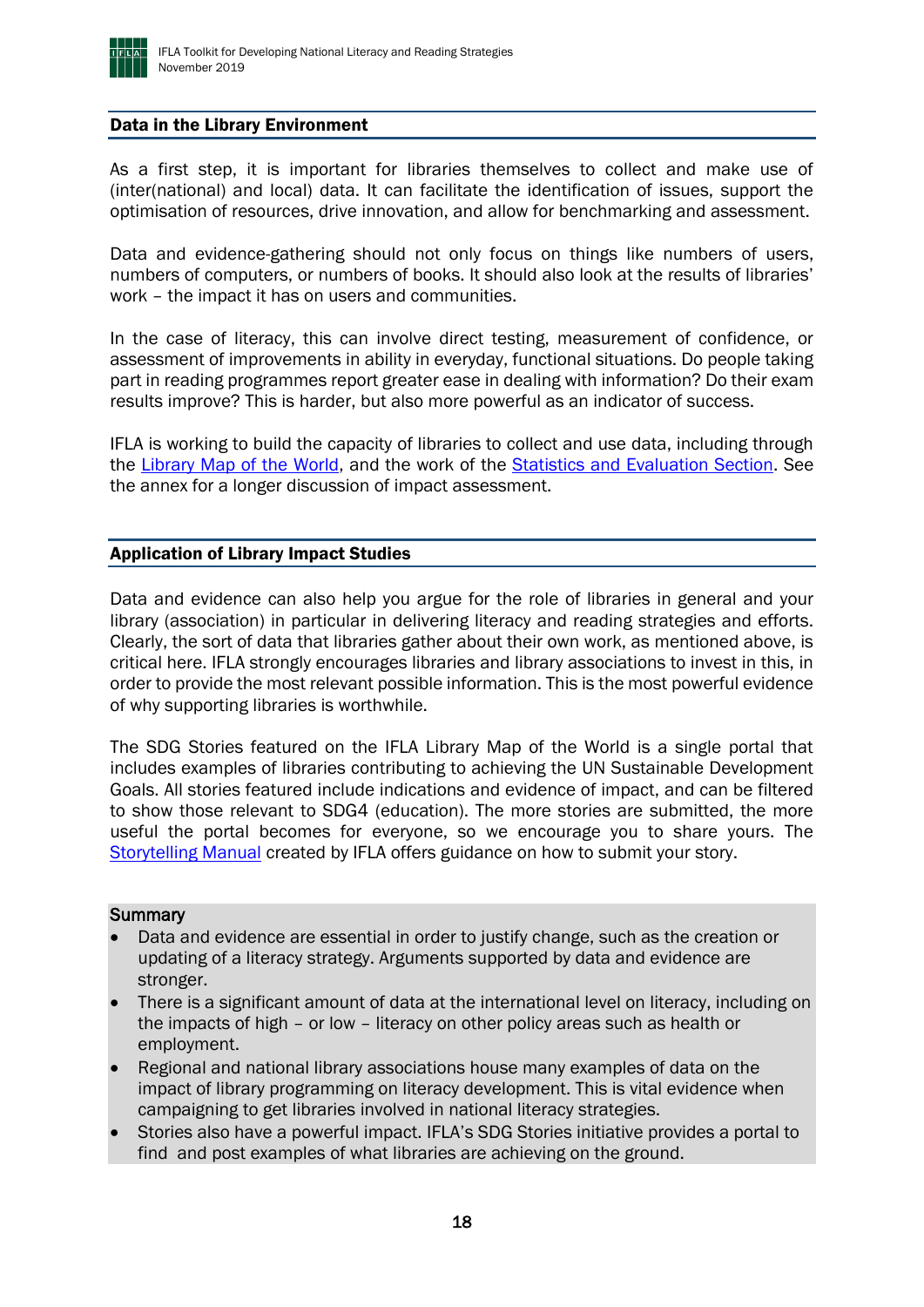

#### <span id="page-17-0"></span>Data in the Library Environment

As a first step, it is important for libraries themselves to collect and make use of (inter(national) and local) data. It can facilitate the identification of issues, support the optimisation of resources, drive innovation, and allow for benchmarking and assessment.

Data and evidence-gathering should not only focus on things like numbers of users, numbers of computers, or numbers of books. It should also look at the results of libraries' work – the impact it has on users and communities.

In the case of literacy, this can involve direct testing, measurement of confidence, or assessment of improvements in ability in everyday, functional situations. Do people taking part in reading programmes report greater ease in dealing with information? Do their exam results improve? This is harder, but also more powerful as an indicator of success.

IFLA is working to build the capacity of libraries to collect and use data, including through the [Library Map of the World,](https://librarymap.ifla.org/) and the work of the [Statistics and Evaluation Section.](https://www.ifla.org/statistics-and-evaluation) See the annex for a longer discussion of impact assessment.

#### <span id="page-17-1"></span>Application of Library Impact Studies

Data and evidence can also help you argue for the role of libraries in general and your library (association) in particular in delivering literacy and reading strategies and efforts. Clearly, the sort of data that libraries gather about their own work, as mentioned above, is critical here. IFLA strongly encourages libraries and library associations to invest in this, in order to provide the most relevant possible information. This is the most powerful evidence of why supporting libraries is worthwhile.

The SDG Stories featured on the IFLA Library Map of the World is a single portal that includes examples of libraries contributing to achieving the UN Sustainable Development Goals. All stories featured include indications and evidence of impact, and can be filtered to show those relevant to SDG4 (education). The more stories are submitted, the more useful the portal becomes for everyone, so we encourage you to share yours. The [Storytelling Manual](https://www.ifla.org/publications/libraries-and-the-sustainable-development-goals-a-storytelling-manual) created by IFLA offers guidance on how to submit your story.

#### **Summary**

- Data and evidence are essential in order to justify change, such as the creation or updating of a literacy strategy. Arguments supported by data and evidence are stronger.
- There is a significant amount of data at the international level on literacy, including on the impacts of high – or low – literacy on other policy areas such as health or employment.
- Regional and national library associations house many examples of data on the impact of library programming on literacy development. This is vital evidence when campaigning to get libraries involved in national literacy strategies.
- Stories also have a powerful impact. IFLA's SDG Stories initiative provides a portal to find and post examples of what libraries are achieving on the ground.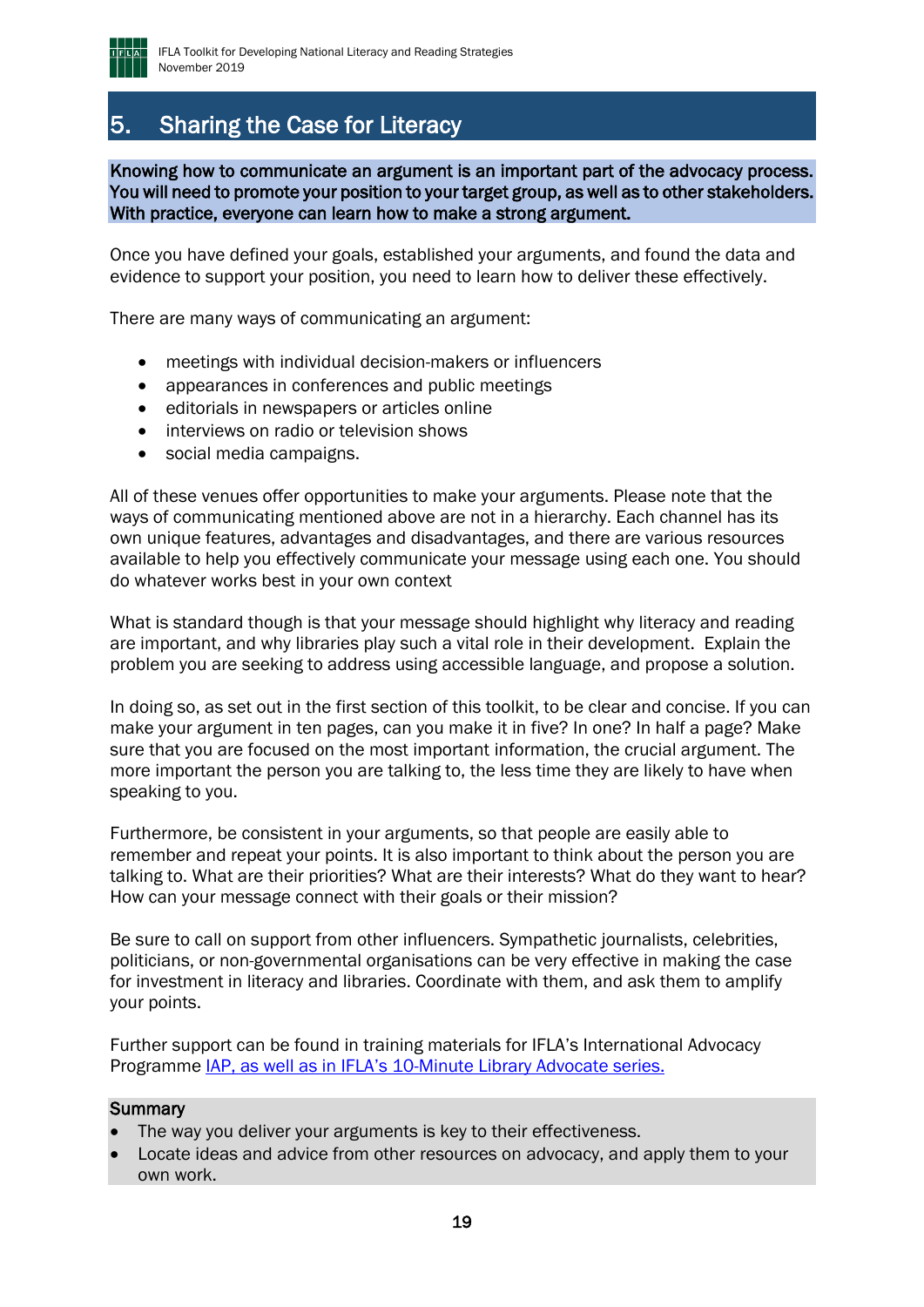

## <span id="page-18-0"></span>5. Sharing the Case for Literacy

Knowing how to communicate an argument is an important part of the advocacy process. You will need to promote your position to your target group, as well as to other stakeholders. With practice, everyone can learn how to make a strong argument.

Once you have defined your goals, established your arguments, and found the data and evidence to support your position, you need to learn how to deliver these effectively.

There are many ways of communicating an argument:

- meetings with individual decision-makers or influencers
- appearances in conferences and public meetings
- editorials in newspapers or articles online
- interviews on radio or television shows
- social media campaigns.

All of these venues offer opportunities to make your arguments. Please note that the ways of communicating mentioned above are not in a hierarchy. Each channel has its own unique features, advantages and disadvantages, and there are various resources available to help you effectively communicate your message using each one. You should do whatever works best in your own context

What is standard though is that your message should highlight why literacy and reading are important, and why libraries play such a vital role in their development. Explain the problem you are seeking to address using accessible language, and propose a solution.

In doing so, as set out in the first section of this toolkit, to be clear and concise. If you can make your argument in ten pages, can you make it in five? In one? In half a page? Make sure that you are focused on the most important information, the crucial argument. The more important the person you are talking to, the less time they are likely to have when speaking to you.

Furthermore, be consistent in your arguments, so that people are easily able to remember and repeat your points. It is also important to think about the person you are talking to. What are their priorities? What are their interests? What do they want to hear? How can your message connect with their goals or their mission?

Be sure to call on support from other influencers. Sympathetic journalists, celebrities, politicians, or non-governmental organisations can be very effective in making the case for investment in literacy and libraries. Coordinate with them, and ask them to amplify your points.

Further support can be found in training materials for IFLA's International Advocacy Programme [IAP,](https://www.ifla.org/ldp/iap) as well as in IFLA's [10-Minute Library Advocate series.](https://blogs.ifla.org/lpa/tag/everylibrariananadvocate/)

#### **Summary**

- The way you deliver your arguments is key to their effectiveness.
- Locate ideas and advice from other resources on advocacy, and apply them to your own work.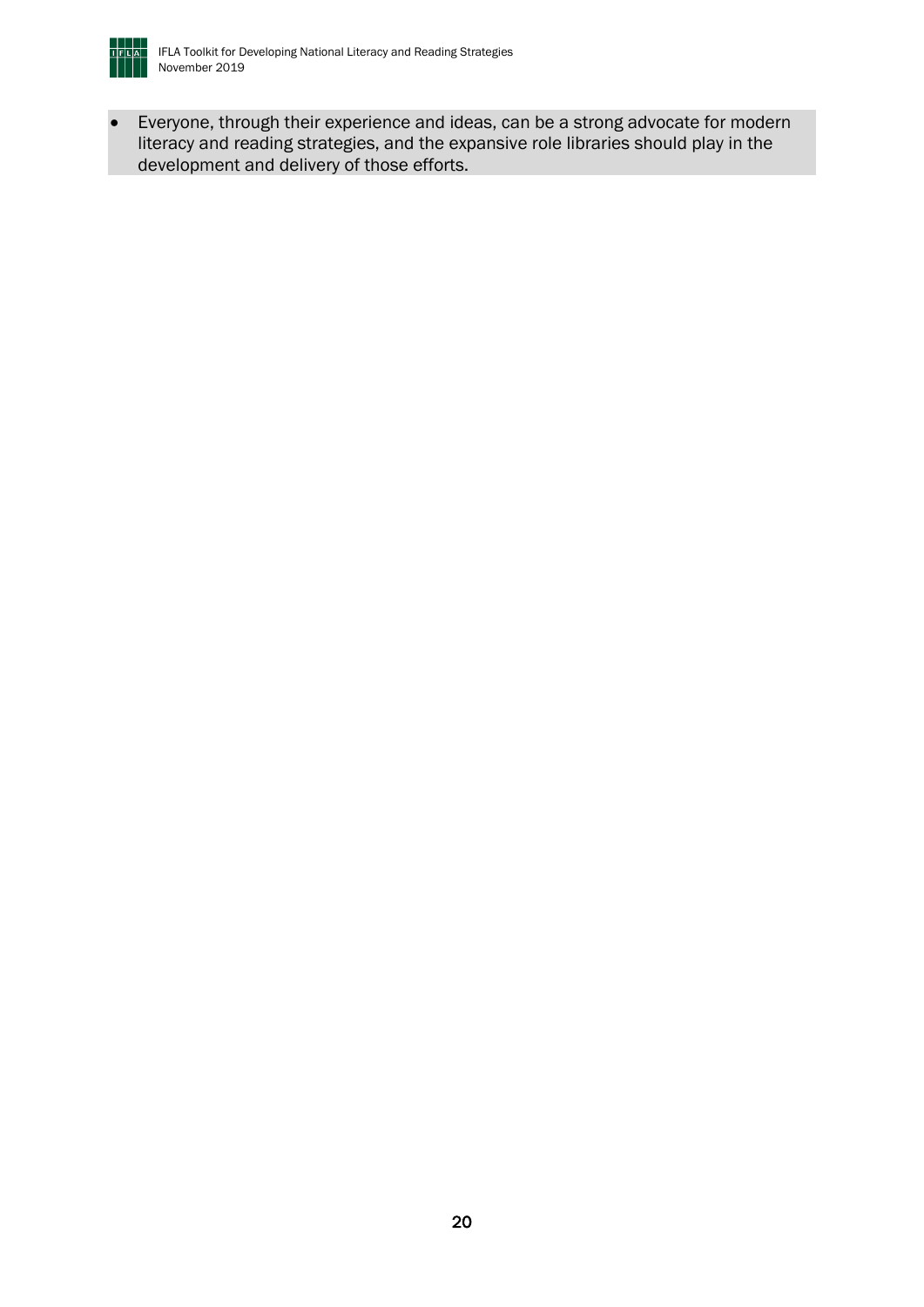

• Everyone, through their experience and ideas, can be a strong advocate for modern literacy and reading strategies, and the expansive role libraries should play in the development and delivery of those efforts.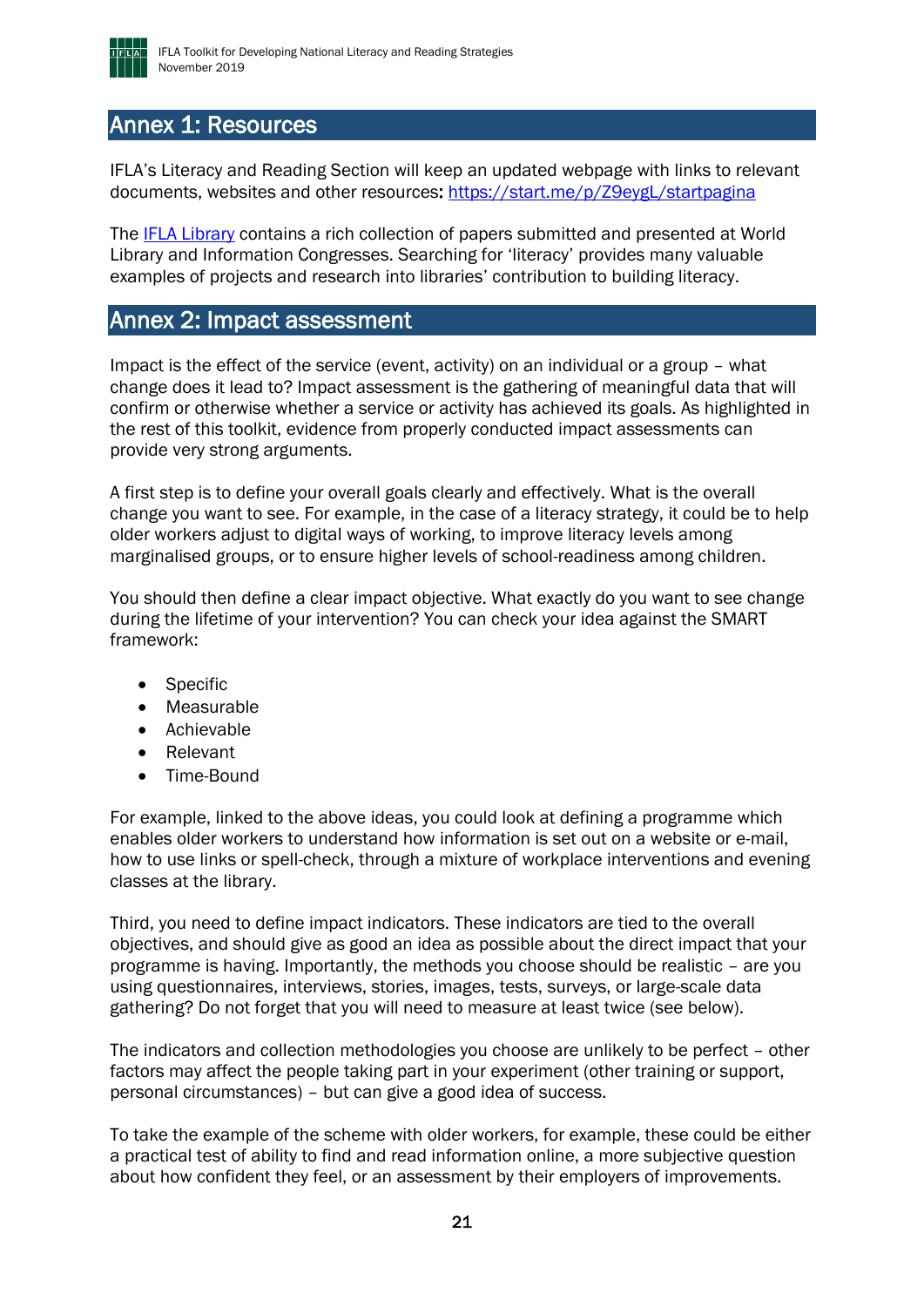

## <span id="page-20-0"></span>Annex 1: Resources

IFLA's Literacy and Reading Section will keep an updated webpage with links to relevant documents, websites and other resources:<https://start.me/p/Z9eygL/startpagina>

The [IFLA Library](http://library.ifla.org/) contains a rich collection of papers submitted and presented at World Library and Information Congresses. Searching for 'literacy' provides many valuable examples of projects and research into libraries' contribution to building literacy.

## <span id="page-20-1"></span>Annex 2: Impact assessment

Impact is the effect of the service (event, activity) on an individual or a group – what change does it lead to? Impact assessment is the gathering of meaningful data that will confirm or otherwise whether a service or activity has achieved its goals. As highlighted in the rest of this toolkit, evidence from properly conducted impact assessments can provide very strong arguments.

A first step is to define your overall goals clearly and effectively. What is the overall change you want to see. For example, in the case of a literacy strategy, it could be to help older workers adjust to digital ways of working, to improve literacy levels among marginalised groups, or to ensure higher levels of school-readiness among children.

You should then define a clear impact objective. What exactly do you want to see change during the lifetime of your intervention? You can check your idea against the SMART framework:

- **Specific**
- Measurable
- Achievable
- Relevant
- Time-Bound

For example, linked to the above ideas, you could look at defining a programme which enables older workers to understand how information is set out on a website or e-mail, how to use links or spell-check, through a mixture of workplace interventions and evening classes at the library.

Third, you need to define impact indicators. These indicators are tied to the overall objectives, and should give as good an idea as possible about the direct impact that your programme is having. Importantly, the methods you choose should be realistic – are you using questionnaires, interviews, stories, images, tests, surveys, or large-scale data gathering? Do not forget that you will need to measure at least twice (see below).

The indicators and collection methodologies you choose are unlikely to be perfect – other factors may affect the people taking part in your experiment (other training or support, personal circumstances) – but can give a good idea of success.

To take the example of the scheme with older workers, for example, these could be either a practical test of ability to find and read information online, a more subjective question about how confident they feel, or an assessment by their employers of improvements.